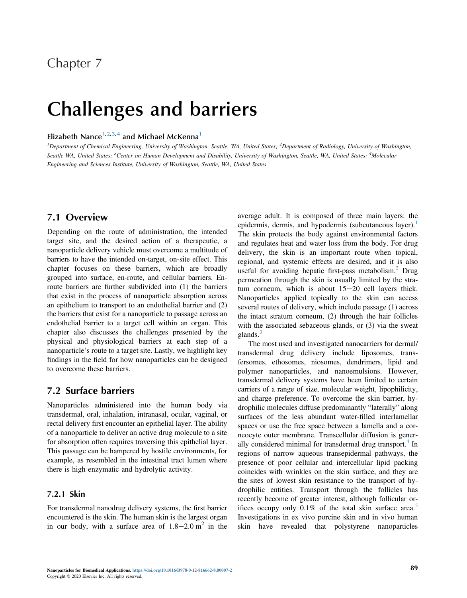## Chapter 7

# Challenges and barriers

## Elizabeth Nance<sup>1,2,3,4</sup> and Michael McKenna<sup>1</sup>

<sup>1</sup>Department of Chemical Engineering, University of Washington, Seattle, WA, United States; <sup>2</sup>Department of Radiology, University of Washington, Seattle WA, United States; <sup>3</sup>Center on Human Development and Disability, University of Washington, Seattle, WA, United States; <sup>4</sup>Molecular Engineering and Sciences Institute, University of Washington, Seattle, WA, United States

## 7.1 Overview

Depending on the route of administration, the intended target site, and the desired action of a therapeutic, a nanoparticle delivery vehicle must overcome a multitude of barriers to have the intended on-target, on-site effect. This chapter focuses on these barriers, which are broadly grouped into surface, en-route, and cellular barriers. Enroute barriers are further subdivided into (1) the barriers that exist in the process of nanoparticle absorption across an epithelium to transport to an endothelial barrier and (2) the barriers that exist for a nanoparticle to passage across an endothelial barrier to a target cell within an organ. This chapter also discusses the challenges presented by the physical and physiological barriers at each step of a nanoparticle's route to a target site. Lastly, we highlight key findings in the field for how nanoparticles can be designed to overcome these barriers.

## 7.2 Surface barriers

Nanoparticles administered into the human body via transdermal, oral, inhalation, intranasal, ocular, vaginal, or rectal delivery first encounter an epithelial layer. The ability of a nanoparticle to deliver an active drug molecule to a site for absorption often requires traversing this epithelial layer. This passage can be hampered by hostile environments, for example, as resembled in the intestinal tract lumen where there is high enzymatic and hydrolytic activity.

## 7.2.1 Skin

For transdermal nanodrug delivery systems, the first barrier encountered is the skin. The human skin is the largest organ in our body, with a surface area of  $1.8-2.0$  m<sup>2</sup> in the

average adult. It is composed of three main layers: the epidermis, dermis, and hypodermis (subcutaneous layer).<sup>[1](#page-13-0)</sup> The skin protects the body against environmental factors and regulates heat and water loss from the body. For drug delivery, the skin is an important route when topical, regional, and systemic effects are desired, and it is also useful for avoiding hepatic first-pass metabolism.<sup>[2](#page-13-0)</sup> Drug permeation through the skin is usually limited by the stratum corneum, which is about  $15-20$  cell layers thick. Nanoparticles applied topically to the skin can access several routes of delivery, which include passage (1) across the intact stratum corneum, (2) through the hair follicles with the associated sebaceous glands, or (3) via the sweat glands.<sup>[3](#page-13-0)</sup>

The most used and investigated nanocarriers for dermal/ transdermal drug delivery include liposomes, transfersomes, ethosomes, niosomes, dendrimers, lipid and polymer nanoparticles, and nanoemulsions. However, transdermal delivery systems have been limited to certain carriers of a range of size, molecular weight, lipophilicity, and charge preference. To overcome the skin barrier, hydrophilic molecules diffuse predominantly "laterally" along surfaces of the less abundant water-filled interlamellar spaces or use the free space between a lamella and a corneocyte outer membrane. Transcellular diffusion is generally considered minimal for transdermal drug transport. $4$  In regions of narrow aqueous transepidermal pathways, the presence of poor cellular and intercellular lipid packing coincides with wrinkles on the skin surface, and they are the sites of lowest skin resistance to the transport of hydrophilic entities. Transport through the follicles has recently become of greater interest, although follicular orifices occupy only  $0.1\%$  of the total skin surface area.<sup>[5](#page-13-0)</sup> Investigations in ex vivo porcine skin and in vivo human skin have revealed that polystyrene nanoparticles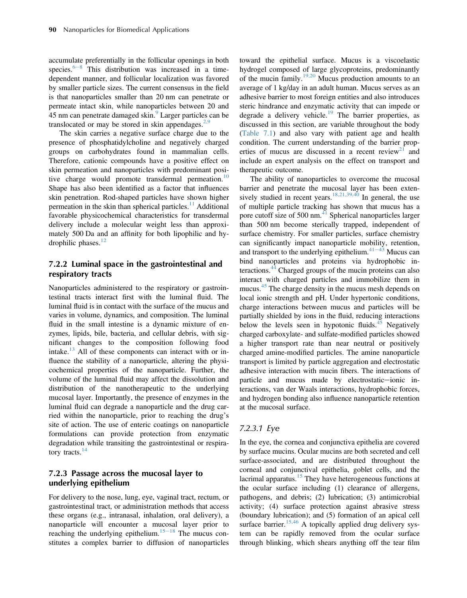accumulate preferentially in the follicular openings in both sp[e](#page-13-0)cies. $6-8$  This distribution was increased in a timedependent manner, and follicular localization was favored by smaller particle sizes. The current consensus in the field is that nanoparticles smaller than 20 nm can penetrate or permeate intact skin, while nanoparticles between 20 and 45 nm can penetrate damaged skin.<sup>[9](#page-13-0)</sup> Larger particles can be translocated or may be stored in skin appendages. $2,9$ 

The skin carries a negative surface charge due to the presence of phosphatidylcholine and negatively charged groups on carbohydrates found in mammalian cells. Therefore, cationic compounds have a positive effect on skin permeation and nanoparticles with predominant posi-tive charge would promote transdermal permeation.<sup>[10](#page-13-0)</sup> Shape has also been identified as a factor that influences skin penetration. Rod-shaped particles have shown higher permeation in the skin than spherical particles.<sup>[11](#page-14-0)</sup> Additional favorable physicochemical characteristics for transdermal delivery include a molecular weight less than approximately 500 Da and an affinity for both lipophilic and hydrophilic phases. $12$ 

## 7.2.2 Luminal space in the gastrointestinal and respiratory tracts

Nanoparticles administered to the respiratory or gastrointestinal tracts interact first with the luminal fluid. The luminal fluid is in contact with the surface of the mucus and varies in volume, dynamics, and composition. The luminal fluid in the small intestine is a dynamic mixture of enzymes, lipids, bile, bacteria, and cellular debris, with significant changes to the composition following food intake. $^{13}$  $^{13}$  $^{13}$  All of these components can interact with or influence the stability of a nanoparticle, altering the physicochemical properties of the nanoparticle. Further, the volume of the luminal fluid may affect the dissolution and distribution of the nanotherapeutic to the underlying mucosal layer. Importantly, the presence of enzymes in the luminal fluid can degrade a nanoparticle and the drug carried within the nanoparticle, prior to reaching the drug's site of action. The use of enteric coatings on nanoparticle formulations can provide protection from enzymatic degradation while transiting the gastrointestinal or respira-tory tracts.<sup>[14](#page-14-0)</sup>

## 7.2.3 Passage across the mucosal layer to underlying epithelium

For delivery to the nose, lung, eye, vaginal tract, rectum, or gastrointestinal tract, or administration methods that access these organs (e.g., intranasal, inhalation, oral delivery), a nanoparticle will encounter a mucosal layer prior to reaching the underlying epithelium.<sup>[15](#page-14-0)–18</sup> The mucus constitutes a complex barrier to diffusion of nanoparticles toward the epithelial surface. Mucus is a viscoelastic hydrogel composed of large glycoproteins, predominantly of the mucin family.<sup>[19,20](#page-14-0)</sup> Mucus production amounts to an average of 1 kg/day in an adult human. Mucus serves as an adhesive barrier to most foreign entities and also introduces steric hindrance and enzymatic activity that can impede or degrade a delivery vehicle.<sup>[19](#page-14-0)</sup> The barrier properties, as discussed in this section, are variable throughout the body [\(Table 7.1\)](#page-2-0) and also vary with patient age and health condition. The current understanding of the barrier properties of mucus are discussed in a recent review<sup>21</sup> and include an expert analysis on the effect on transport and therapeutic outcome.

The ability of nanoparticles to overcome the mucosal barrier and penetrate the mucosal layer has been exten-sively studied in recent years.<sup>[18,21,39,40](#page-14-0)</sup> In general, the use of multiple particle tracking has shown that mucus has a pore cutoff size of 500 nm. $41$  Spherical nanoparticles larger than 500 nm become sterically trapped, independent of surface chemistry. For smaller particles, surface chemistry can significantly impact nanoparticle m[obility](#page-14-0), retention, and transport to the underlying epithelium. $41-43$  Mucus can bind nanoparticles and proteins via hydrophobic in-teractions.<sup>[44](#page-14-0)</sup> Charged groups of the mucin proteins can also interact with charged particles and immobilize them in mucus.<sup>[45](#page-14-0)</sup> The charge density in the mucus mesh depends on local ionic strength and pH. Under hypertonic conditions, charge interactions between mucus and particles will be partially shielded by ions in the fluid, reducing interactions below the levels seen in hypotonic fluids. $45$  Negatively charged carboxylate- and sulfate-modified particles showed a higher transport rate than near neutral or positively charged amine-modified particles. The amine nanoparticle transport is limited by particle aggregation and electrostatic adhesive interaction with mucin fibers. The interactions of particle and mucus made by electrostatic-ionic interactions, van der Waals interactions, hydrophobic forces, and hydrogen bonding also influence nanoparticle retention at the mucosal surface.

## 7.2.3.1 Eye

In the eye, the cornea and conjunctiva epithelia are covered by surface mucins. Ocular mucins are both secreted and cell surface-associated, and are distributed throughout the corneal and conjunctival epithelia, goblet cells, and the lacrimal apparatus.<sup>[15](#page-14-0)</sup> They have heterogeneous functions at the ocular surface including (1) clearance of allergens, pathogens, and debris; (2) lubrication; (3) antimicrobial activity; (4) surface protection against abrasive stress (boundary lubrication); and (5) formation of an apical cell surface barrier.<sup>[15,46](#page-14-0)</sup> A topically applied drug delivery system can be rapidly removed from the ocular surface through blinking, which shears anything off the tear film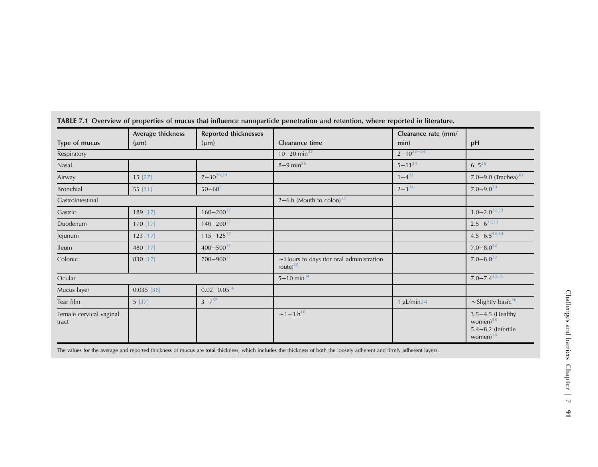|                                  | Average thickness | <b>Reported thicknesses</b> |                                                              | Clearance rate (mm/ |                                                                                 |
|----------------------------------|-------------------|-----------------------------|--------------------------------------------------------------|---------------------|---------------------------------------------------------------------------------|
| Type of mucus                    | $(\mu m)$         | $(\mu m)$                   | Clearance time                                               | min)                | pH                                                                              |
| Respiratory                      |                   |                             | $10 - 20$ min <sup>22</sup>                                  | $2 - 10^{22 - 24}$  |                                                                                 |
| Nasal                            |                   |                             | $8 - 9$ min <sup>25</sup>                                    | $5 - 11^{24}$       | $6.5^{26}$                                                                      |
| Airway                           | 15 [27]           | $7 - 30^{28,29}$            |                                                              | $1 - 4^{23}$        | 7.0-9.0 (Trachea) $30$                                                          |
| Bronchial                        | 55 [31]           | $50 - 60^{31}$              |                                                              | $2 - 3^{24}$        | $7.0 - 9.0^{30}$                                                                |
| Gastrointestinal                 |                   |                             | $2-6$ h (Mouth to colon) <sup>32</sup>                       |                     |                                                                                 |
| Gastric                          | 189 [17]          | $160 - 200^{17}$            |                                                              |                     | $1.0 - 2.0^{32,33}$                                                             |
| Duodenum                         | 170 [17]          | $140 - 200^{17}$            |                                                              |                     | $2.5 - 6^{32,33}$                                                               |
| Jejunum                          | $123$ [17]        | $115 - 125$ <sup>17</sup>   |                                                              |                     | $4.5 - 6.5^{32,33}$                                                             |
| <b>Ileum</b>                     | 480 [17]          | $400 - 500^{17}$            |                                                              |                     | $7.0 - 8.0^{32}$                                                                |
| Colonic                          | 830 [17]          | $700 - 900$ <sup>17</sup>   | $\sim$ Hours to days (for oral administration<br>route) $32$ |                     | $7.0 - 8.0^{32}$                                                                |
| Ocular                           |                   |                             | $5 - 10$ min <sup>34</sup>                                   |                     | $7.0 - 7.4^{32,35}$                                                             |
| Mucus layer                      | $0.035$ [36]      | $0.02 - 0.05^{36}$          |                                                              |                     |                                                                                 |
| Tear film                        | 5 [37]            | $3 - 7^{37}$                |                                                              | $1 \mu L/min34$     | $\sim$ Slightly basic <sup>36</sup>                                             |
| Female cervical vaginal<br>tract |                   |                             | $\sim$ 1-3 h <sup>18</sup>                                   |                     | $3.5 - 4.5$ (Healthy<br>women) $38$<br>$5.4 - 8.2$ (Infertile<br>women $)^{18}$ |

<span id="page-2-0"></span>

|  |  |  | TABLE 7.1 Overview of properties of mucus that influence nanoparticle penetration and retention, where reported in literature. |
|--|--|--|--------------------------------------------------------------------------------------------------------------------------------|
|--|--|--|--------------------------------------------------------------------------------------------------------------------------------|

The values for the average and reported thickness of mucus are total thickness, which includes the thickness of both the loosely adherent and firmly adherent layers.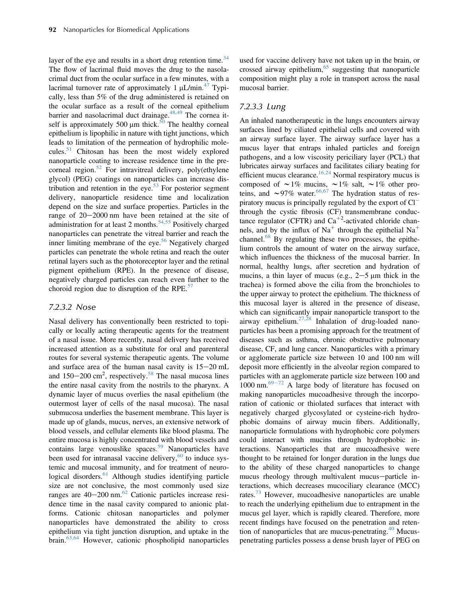layer of the eye and results in a short drug retention time. $34$ The flow of lacrimal fluid moves the drug to the nasolacrimal duct from the ocular surface in a few minutes, with a lacrimal turnover rate of approximately 1  $\mu$ L/min.<sup>[47](#page-14-0)</sup> Typically, less than 5% of the drug administered is retained on the ocular surface as a result of the corneal epithelium barrier and nasolacrimal duct drainage. $48,49$  The cornea it-self is approximately [50](#page-14-0)0  $\mu$ m thick.<sup>50</sup> The healthy corneal epithelium is lipophilic in nature with tight junctions, which leads to limitation of the permeation of hydrophilic molecules. $51$  Chitosan has been the most widely explored nanoparticle coating to increase residence time in the precorneal region. $52$  For intravitreal delivery, poly(ethylene glycol) (PEG) coatings on nanoparticles can increase dis-tribution and retention in the eye.<sup>[53](#page-14-0)</sup> For posterior segment delivery, nanoparticle residence time and localization depend on the size and surface properties. Particles in the range of  $20-2000$  nm have been retained at the site of administration for at least 2 months.<sup>[54,55](#page-15-0)</sup> Positively charged nanoparticles can penetrate the vitreal barrier and reach the inner limiting membrane of the eye.<sup>[56](#page-15-0)</sup> Negatively charged particles can penetrate the whole retina and reach the outer retinal layers such as the photoreceptor layer and the retinal pigment epithelium (RPE). In the presence of disease, negatively charged particles can reach even further to the choroid region due to disruption of the RPE.<sup>[57](#page-15-0)</sup>

## 7.2.3.2 Nose

Nasal delivery has conventionally been restricted to topically or locally acting therapeutic agents for the treatment of a nasal issue. More recently, nasal delivery has received increased attention as a substitute for oral and parenteral routes for several systemic therapeutic agents. The volume and surface area of the human nasal cavity is  $15-20$  mL and  $150-200 \text{ cm}^2$ , respectively.<sup>[58](#page-15-0)</sup> The nasal mucosa lines the entire nasal cavity from the nostrils to the pharynx. A dynamic layer of mucus overlies the nasal epithelium (the outermost layer of cells of the nasal mucosa). The nasal submucosa underlies the basement membrane. This layer is made up of glands, mucus, nerves, an extensive network of blood vessels, and cellular elements like blood plasma. The entire mucosa is highly concentrated with blood vessels and contains large venouslike spaces.<sup>[59](#page-15-0)</sup> Nanoparticles have been used for intranasal vaccine delivery, $60$  to induce systemic and mucosal immunity, and for treatment of neurological disorders. $61$  Although studies identifying particle size are not conclusive, the most commonly used size ranges are  $40-200$  nm.<sup>62</sup> Cationic particles increase residence time in the nasal cavity compared to anionic platforms. Cationic chitosan nanoparticles and polymer nanoparticles have demonstrated the ability to cross epithelium via tight junction disruption, and uptake in the brain.[63,64](#page-15-0) However, cationic phospholipid nanoparticles

used for vaccine delivery have not taken up in the brain, or crossed airway epithelium,  $65$  suggesting that nanoparticle composition might play a role in transport across the nasal mucosal barrier.

## 7.2.3.3 Lung

An inhaled nanotherapeutic in the lungs encounters airway surfaces lined by ciliated epithelial cells and covered with an airway surface layer. The airway surface layer has a mucus layer that entraps inhaled particles and foreign pathogens, and a low viscosity periciliary layer (PCL) that lubricates airway surfaces and facilitates ciliary beating for efficient mucus clearance.<sup>[16,24](#page-14-0)</sup> Normal respiratory mucus is composed of  $\sim 1\%$  mucins,  $\sim 1\%$  salt,  $\sim 1\%$  other proteins, and  $\sim$ 97% water.<sup>[66,67](#page-15-0)</sup> The hydration status of respiratory mucus is principally regulated by the export of Cl through the cystic fibrosis (CF) transmembrane conductance regulator (CFTR) and  $Ca^{+2}$ -activated chloride channels, and by the influx of  $Na<sup>+</sup>$  through the epithelial  $Na<sup>+</sup>$ channel. $^{68}$  $^{68}$  $^{68}$  By regulating these two processes, the epithelium controls the amount of water on the airway surface, which influences the thickness of the mucosal barrier. In normal, healthy lungs, after secretion and hydration of mucins, a thin layer of mucus (e.g.,  $2-5 \mu m$  thick in the trachea) is formed above the cilia from the bronchioles to the upper airway to protect the epithelium. The thickness of this mucosal layer is altered in the presence of disease, which can significantly impair nanoparticle transport to the airway epithelium. $27,28$  Inhalation of drug-loaded nanoparticles has been a promising approach for the treatment of diseases such as asthma, chronic obstructive pulmonary disease, CF, and lung cancer. Nanoparticles with a primary or agglomerate particle size between 10 and 100 nm will deposit more efficiently in the alveolar region compared to particles with an agglomerate particle size between 100 and 1000 nm. $69-72$  $69-72$  A large body of literature has focused on making nanoparticles mucoadhesive through the incorporation of cationic or thiolated surfaces that interact with negatively charged glycosylated or cysteine-rich hydrophobic domains of airway mucin fibers. Additionally, nanoparticle formulations with hydrophobic core polymers could interact with mucins through hydrophobic interactions. Nanoparticles that are mucoadhesive were thought to be retained for longer duration in the lungs due to the ability of these charged nanoparticles to change mucus rheology through multivalent mucus-particle interactions, which decreases mucociliary clearance (MCC) rates.<sup>[73](#page-15-0)</sup> However, mucoadhesive nanoparticles are unable to reach the underlying epithelium due to entrapment in the mucus gel layer, which is rapidly cleared. Therefore, more recent findings have focused on the penetration and retention of nanoparticles that are mucus-penetrating. $40$  Mucuspenetrating particles possess a dense brush layer of PEG on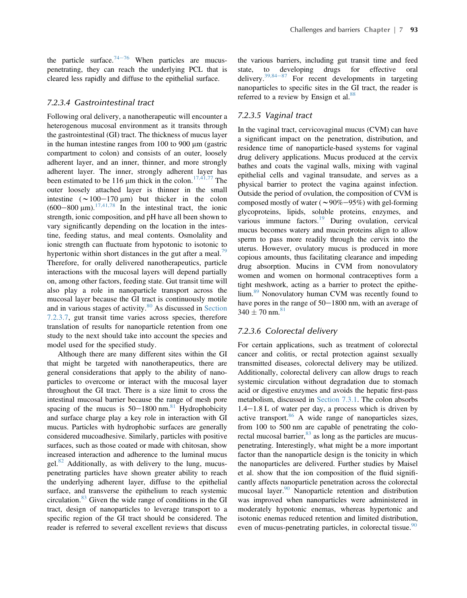the particle surface. $74-76$  $74-76$  When particles are mucuspenetrating, they can reach the underlying PCL that is cleared less rapidly and diffuse to the epithelial surface.

## 7.2.3.4 Gastrointestinal tract

Following oral delivery, a nanotherapeutic will encounter a heterogenous mucosal environment as it transits through the gastrointestinal (GI) tract. The thickness of mucus layer in the human intestine ranges from  $100$  to  $900 \mu m$  (gastric compartment to colon) and consists of an outer, loosely adherent layer, and an inner, thinner, and more strongly adherent layer. The inner, strongly adherent layer has been estimated to be 116  $\mu$ m thick in the colon.<sup>[17,41,77](#page-14-0)</sup> The outer loosely attached layer is thinner in the small intestine  $({\sim}100-170 \text{ }\mu\text{m})$  but thicker in the colon  $(600-800 \text{ }\mu\text{m})$ .<sup>[17,41,78](#page-14-0)</sup> In the intestinal tract, the ionic strength, ionic composition, and pH have all been shown to vary significantly depending on the location in the intestine, feeding status, and meal contents. Osmolality and ionic strength can fluctuate from hypotonic to isotonic to hypertonic within short distances in the gut after a meal.<sup>[79](#page-15-0)</sup> Therefore, for orally delivered nanotherapeutics, particle interactions with the mucosal layers will depend partially on, among other factors, feeding state. Gut transit time will also play a role in nanoparticle transport across the mucosal layer because the GI tract is continuously motile and in various stages of activity.<sup>[80](#page-15-0)</sup> As discussed in [Section](#page-5-0) [7.2.3.7,](#page-5-0) gut transit time varies across species, therefore translation of results for nanoparticle retention from one study to the next should take into account the species and model used for the specified study.

Although there are many different sites within the GI that might be targeted with nanotherapeutics, there are general considerations that apply to the ability of nanoparticles to overcome or interact with the mucosal layer throughout the GI tract. There is a size limit to cross the intestinal mucosal barrier because the range of mesh pore spacing of the mucus is  $50-1800$  nm.<sup>[81](#page-15-0)</sup> Hydrophobicity and surface charge play a key role in interaction with GI mucus. Particles with hydrophobic surfaces are generally considered mucoadhesive. Similarly, particles with positive surfaces, such as those coated or made with chitosan, show increased interaction and adherence to the luminal mucus gel. $82$  Additionally, as with delivery to the lung, mucuspenetrating particles have shown greater ability to reach the underlying adherent layer, diffuse to the epithelial surface, and transverse the epithelium to reach systemic circulation.[83](#page-15-0) Given the wide range of conditions in the GI tract, design of nanoparticles to leverage transport to a specific region of the GI tract should be considered. The reader is referred to several excellent reviews that discuss

the various barriers, including gut transit time and feed state, to developing drugs for effective oral delivery. $39,84-87$  $39,84-87$  For recent developments in targeting nanoparticles to specific sites in the GI tract, the reader is referred to a review by Ensign et al.<sup>[88](#page-15-0)</sup>

## 7.2.3.5 Vaginal tract

In the vaginal tract, cervicovaginal mucus (CVM) can have a significant impact on the penetration, distribution, and residence time of nanoparticle-based systems for vaginal drug delivery applications. Mucus produced at the cervix bathes and coats the vaginal walls, mixing with vaginal epithelial cells and vaginal transudate, and serves as a physical barrier to protect the vagina against infection. Outside the period of ovulation, the composition of CVM is composed mostly of water ( $\sim$ 90%–95%) with gel-forming glycoproteins, lipids, soluble proteins, enzymes, and various immune factors. $^{19}$  $^{19}$  $^{19}$  During ovulation, cervical mucus becomes watery and mucin proteins align to allow sperm to pass more readily through the cervix into the uterus. However, ovulatory mucus is produced in more copious amounts, thus facilitating clearance and impeding drug absorption. Mucins in CVM from nonovulatory women and women on hormonal contraceptives form a tight meshwork, acting as a barrier to protect the epithe-lium.<sup>[89](#page-15-0)</sup> Nonovulatory human CVM was recently found to have pores in the range of  $50-1800$  nm, with an average of  $340 \pm 70$  nm.<sup>[81](#page-15-0)</sup>

### 7.2.3.6 Colorectal delivery

For certain applications, such as treatment of colorectal cancer and colitis, or rectal protection against sexually transmitted diseases, colorectal delivery may be utilized. Additionally, colorectal delivery can allow drugs to reach systemic circulation without degradation due to stomach acid or digestive enzymes and avoids the hepatic first-pass metabolism, discussed in [Section 7.3.1](#page-5-0). The colon absorbs  $1.4-1.8$  L of water per day, a process which is driven by active transport. $86$  A wide range of nanoparticles sizes, from 100 to 500 nm are capable of penetrating the colorectal mucosal barrier,  $83$  as long as the particles are mucuspenetrating. Interestingly, what might be a more important factor than the nanoparticle design is the tonicity in which the nanoparticles are delivered. Further studies by Maisel et al. show that the ion composition of the fluid significantly affects nanoparticle penetration across the colorectal mucosal layer.<sup>[90](#page-15-0)</sup> Nanoparticle retention and distribution was improved when nanoparticles were administered in moderately hypotonic enemas, whereas hypertonic and isotonic enemas reduced retention and limited distribution, even of mucus-penetrating particles, in colorectal tissue.<sup>[90](#page-15-0)</sup>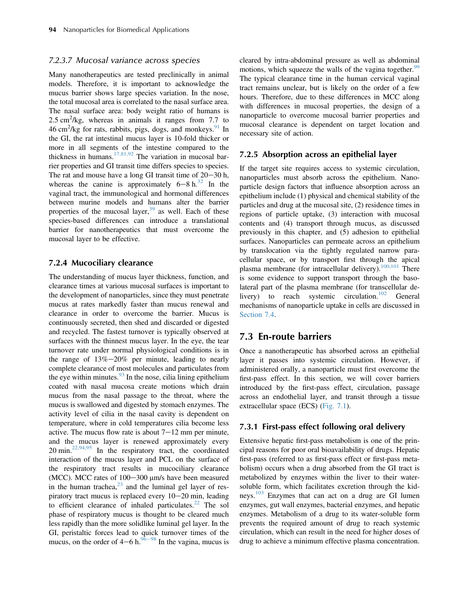#### <span id="page-5-0"></span>7.2.3.7 Mucosal variance across species

Many nanotherapeutics are tested preclinically in animal models. Therefore, it is important to acknowledge the mucus barrier shows large species variation. In the nose, the total mucosal area is correlated to the nasal surface area. The nasal surface area: body weight ratio of humans is 2.5 cm<sup>2</sup>/kg, whereas in animals it ranges from 7.7 to  $46 \text{ cm}^2/\text{kg}$  for rats, rabbits, pigs, dogs, and monkeys. <sup>[91](#page-15-0)</sup> In the GI, the rat intestinal mucus layer is 10-fold thicker or more in all segments of the intestine compared to the thickness in humans.<sup>17,81,92</sup> The variation in mucosal barrier properties and GI transit time differs species to species. The rat and mouse have a long GI transit time of  $20-30$  h, whereas the canine is approximately  $6-8 h^{32}$  $6-8 h^{32}$  $6-8 h^{32}$  In the vaginal tract, the immunological and hormonal differences between murine models and humans alter the barrier properties of the mucosal layer,  $39$  as well. Each of these species-based differences can introduce a translational barrier for nanotherapeutics that must overcome the mucosal layer to be effective.

#### 7.2.4 Mucociliary clearance

The understanding of mucus layer thickness, function, and clearance times at various mucosal surfaces is important to the development of nanoparticles, since they must penetrate mucus at rates markedly faster than mucus renewal and clearance in order to overcome the barrier. Mucus is continuously secreted, then shed and discarded or digested and recycled. The fastest turnover is typically observed at surfaces with the thinnest mucus layer. In the eye, the tear turnover rate under normal physiological conditions is in the range of  $13\% - 20\%$  per minute, leading to nearly complete clearance of most molecules and particulates from the eye within minutes. $93$  In the nose, cilia lining epithelium coated with nasal mucosa create motions which drain mucus from the nasal passage to the throat, where the mucus is swallowed and digested by stomach enzymes. The activity level of cilia in the nasal cavity is dependent on temperature, where in cold temperatures cilia become less active. The mucus flow rate is about  $7-12$  mm per minute, and the mucus layer is renewed approximately every  $20 \text{ min.}^{22,94,95}$  $20 \text{ min.}^{22,94,95}$  $20 \text{ min.}^{22,94,95}$  In the respiratory tract, the coordinated interaction of the mucus layer and PCL on the surface of the respiratory tract results in mucociliary clearance (MCC). MCC rates of 100–300  $\mu$ m/s have been measured in the human trachea,<sup>[23](#page-14-0)</sup> and the luminal gel layer of respiratory tract mucus is replaced every  $10-20$  min, leading to efficient clearance of inhaled particulates.<sup>[22](#page-14-0)</sup> The sol phase of respiratory mucus is thought to be cleared much less rapidly than the more solidlike luminal gel layer. In the GI, peristaltic forces lead to quick turnover times of the mucus, on the order of  $4-6$  h.<sup>[96](#page-16-0)–98</sup> In the vagina, mucus is cleared by intra-abdominal pressure as well as abdominal motions, which squeeze the walls of the vagina together.<sup>[99](#page-16-0)</sup> The typical clearance time in the human cervical vaginal tract remains unclear, but is likely on the order of a few hours. Therefore, due to these differences in MCC along with differences in mucosal properties, the design of a nanoparticle to overcome mucosal barrier properties and mucosal clearance is dependent on target location and necessary site of action.

#### 7.2.5 Absorption across an epithelial layer

If the target site requires access to systemic circulation, nanoparticles must absorb across the epithelium. Nanoparticle design factors that influence absorption across an epithelium include (1) physical and chemical stability of the particles and drug at the mucosal site, (2) residence times in regions of particle uptake, (3) interaction with mucosal contents and (4) transport through mucus, as discussed previously in this chapter, and (5) adhesion to epithelial surfaces. Nanoparticles can permeate across an epithelium by translocation via the tightly regulated narrow paracellular space, or by transport first through the apical plasma membrane (for intracellular delivery).<sup>[100,101](#page-16-0)</sup> There is some evidence to support transport through the basolateral part of the plasma membrane (for transcellular de-livery) to reach systemic circulation.<sup>[102](#page-16-0)</sup> General mechanisms of nanoparticle uptake in cells are discussed in [Section 7.4.](#page-11-0)

## 7.3 En-route barriers

Once a nanotherapeutic has absorbed across an epithelial layer it passes into systemic circulation. However, if administered orally, a nanoparticle must first overcome the first-pass effect. In this section, we will cover barriers introduced by the first-pass effect, circulation, passage across an endothelial layer, and transit through a tissue extracellular space (ECS) ([Fig. 7.1](#page-6-0)).

## 7.3.1 First-pass effect following oral delivery

Extensive hepatic first-pass metabolism is one of the principal reasons for poor oral bioavailability of drugs. Hepatic first-pass (referred to as first-pass effect or first-pass metabolism) occurs when a drug absorbed from the GI tract is metabolized by enzymes within the liver to their watersoluble form, which facilitates excretion through the kid-neys.<sup>[103](#page-16-0)</sup> Enzymes that can act on a drug are GI lumen enzymes, gut wall enzymes, bacterial enzymes, and hepatic enzymes. Metabolism of a drug to its water-soluble form prevents the required amount of drug to reach systemic circulation, which can result in the need for higher doses of drug to achieve a minimum effective plasma concentration.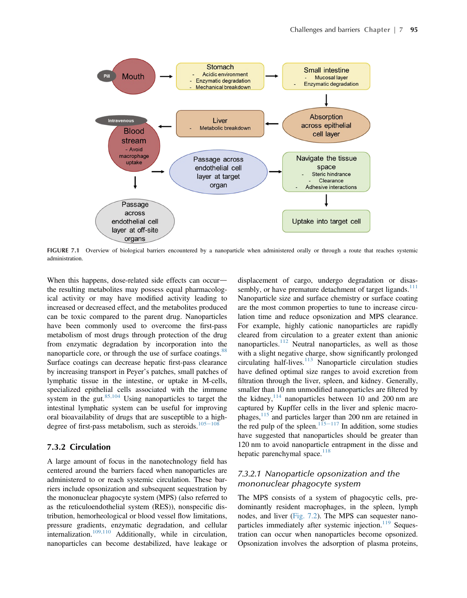<span id="page-6-0"></span>

FIGURE 7.1 Overview of biological barriers encountered by a nanoparticle when administered orally or through a route that reaches systemic administration.

When this happens, dose-related side effects can occurthe resulting metabolites may possess equal pharmacological activity or may have modified activity leading to increased or decreased effect, and the metabolites produced can be toxic compared to the parent drug. Nanoparticles have been commonly used to overcome the first-pass metabolism of most drugs through protection of the drug from enzymatic degradation by incorporation into the nanoparticle core, or through the use of surface coatings.<sup>88</sup> Surface coatings can decrease hepatic first-pass clearance by increasing transport in Peyer's patches, small patches of lymphatic tissue in the intestine, or uptake in M-cells, specialized epithelial cells associated with the immune system in the gut. $85,104$  Using nanoparticles to target the intestinal lymphatic system can be useful for improving oral bioavailability of drugs that are susceptible to a high-degree of first-pass metabolism, such as steroids.<sup>105-[108](#page-16-0)</sup>

## 7.3.2 Circulation

A large amount of focus in the nanotechnology field has centered around the barriers faced when nanoparticles are administered to or reach systemic circulation. These barriers include opsonization and subsequent sequestration by the mononuclear phagocyte system (MPS) (also referred to as the reticuloendothelial system (RES)), nonspecific distribution, hemorheological or blood vessel flow limitations, pressure gradients, enzymatic degradation, and cellular internalization.[109,110](#page-16-0) Additionally, while in circulation, nanoparticles can become destabilized, have leakage or

displacement of cargo, undergo degradation or disassembly, or have premature detachment of target ligands. $111$ Nanoparticle size and surface chemistry or surface coating are the most common properties to tune to increase circulation time and reduce opsonization and MPS clearance. For example, highly cationic nanoparticles are rapidly cleared from circulation to a greater extent than anionic nanoparticles.<sup>[112](#page-16-0)</sup> Neutral nanoparticles, as well as those with a slight negative charge, show significantly prolonged circulating half-lives.<sup>[113](#page-16-0)</sup> Nanoparticle circulation studies have defined optimal size ranges to avoid excretion from filtration through the liver, spleen, and kidney. Generally, smaller than 10 nm unmodified nanoparticles are filtered by the kidney,  $114$  nanoparticles between 10 and 200 nm are captured by Kupffer cells in the liver and splenic macro-phages,<sup>[115](#page-16-0)</sup> and particles larger than 200 nm are retained in the red pulp of the spleen.<sup>115–[117](#page-16-0)</sup> In addition, some studies have suggested that nanoparticles should be greater than 120 nm to avoid nanoparticle entrapment in the disse and hepatic parenchymal space. $118$ 

## 7.3.2.1 Nanoparticle opsonization and the mononuclear phagocyte system

The MPS consists of a system of phagocytic cells, predominantly resident macrophages, in the spleen, lymph nodes, and liver ([Fig. 7.2\)](#page-7-0). The MPS can sequester nano-particles immediately after systemic injection.<sup>[119](#page-16-0)</sup> Sequestration can occur when nanoparticles become opsonized. Opsonization involves the adsorption of plasma proteins,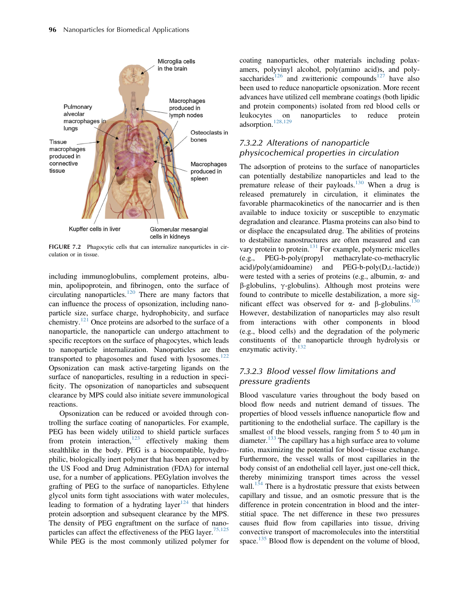<span id="page-7-0"></span>

FIGURE 7.2 Phagocytic cells that can internalize nanoparticles in circulation or in tissue.

including immunoglobulins, complement proteins, albumin, apolipoprotein, and fibrinogen, onto the surface of circulating nanoparticles.[120](#page-16-0) There are many factors that can influence the process of opsonization, including nanoparticle size, surface charge, hydrophobicity, and surface chemistry.[121](#page-16-0) Once proteins are adsorbed to the surface of a nanoparticle, the nanoparticle can undergo attachment to specific receptors on the surface of phagocytes, which leads to nanoparticle internalization. Nanoparticles are then transported to phagosomes and fused with lysosomes. $122$ Opsonization can mask active-targeting ligands on the surface of nanoparticles, resulting in a reduction in specificity. The opsonization of nanoparticles and subsequent clearance by MPS could also initiate severe immunological reactions.

Opsonization can be reduced or avoided through controlling the surface coating of nanoparticles. For example, PEG has been widely utilized to shield particle surfaces from protein interaction, $123$  effectively making them stealthlike in the body. PEG is a biocompatible, hydrophilic, biologically inert polymer that has been approved by the US Food and Drug Administration (FDA) for internal use, for a number of applications. PEGylation involves the grafting of PEG to the surface of nanoparticles. Ethylene glycol units form tight associations with water molecules, leading to formation of a hydrating layer $124$  that hinders protein adsorption and subsequent clearance by the MPS. The density of PEG engraftment on the surface of nano-particles can affect the effectiveness of the PEG layer.<sup>[75,125](#page-15-0)</sup> While PEG is the most commonly utilized polymer for

coating nanoparticles, other materials including polaxamers, polyvinyl alcohol, poly(amino acid)s, and poly-saccharides<sup>[126](#page-16-0)</sup> and zwitterionic compounds<sup>[127](#page-16-0)</sup> have also been used to reduce nanoparticle opsonization. More recent advances have utilized cell membrane coatings (both lipidic and protein components) isolated from red blood cells or leukocytes on nanoparticles to reduce protein adsorption.<sup>[128,129](#page-16-0)</sup>

## 7.3.2.2 Alterations of nanoparticle physicochemical properties in circulation

The adsorption of proteins to the surface of nanoparticles can potentially destabilize nanoparticles and lead to the premature release of their payloads.<sup>[130](#page-16-0)</sup> When a drug is released prematurely in circulation, it eliminates the favorable pharmacokinetics of the nanocarrier and is then available to induce toxicity or susceptible to enzymatic degradation and clearance. Plasma proteins can also bind to or displace the encapsulated drug. The abilities of proteins to destabilize nanostructures are often measured and can vary protein to protein.<sup>[131](#page-16-0)</sup> For example, polymeric micelles (e.g., PEG-b-poly(propyl methacrylate-co-methacrylic acid)/poly(amidoamine) and PEG-b-poly(D,L-lactide)) were tested with a series of proteins (e.g., albumin,  $\alpha$ - and  $\beta$ -globulins,  $\gamma$ -globulins). Although most proteins were found to contribute to micelle destabilization, a more significant effect was observed for  $\alpha$ - and  $\beta$ -globulins.<sup>[130](#page-16-0)</sup> However, destabilization of nanoparticles may also result from interactions with other components in blood (e.g., blood cells) and the degradation of the polymeric constituents of the nanoparticle through hydrolysis or enzymatic activity. $132$ 

## 7.3.2.3 Blood vessel flow limitations and pressure gradients

Blood vasculature varies throughout the body based on blood flow needs and nutrient demand of tissues. The properties of blood vessels influence nanoparticle flow and partitioning to the endothelial surface. The capillary is the smallest of the blood vessels, ranging from  $5$  to  $40 \mu m$  in diameter.<sup>[133](#page-17-0)</sup> The capillary has a high surface area to volume ratio, maximizing the potential for blood-tissue exchange. Furthermore, the vessel walls of most capillaries in the body consist of an endothelial cell layer, just one-cell thick, thereby minimizing transport times across the vessel wall. $134$  There is a hydrostatic pressure that exists between capillary and tissue, and an osmotic pressure that is the difference in protein concentration in blood and the interstitial space. The net difference in these two pressures causes fluid flow from capillaries into tissue, driving convective transport of macromolecules into the interstitial space.<sup>[135](#page-17-0)</sup> Blood flow is dependent on the volume of blood,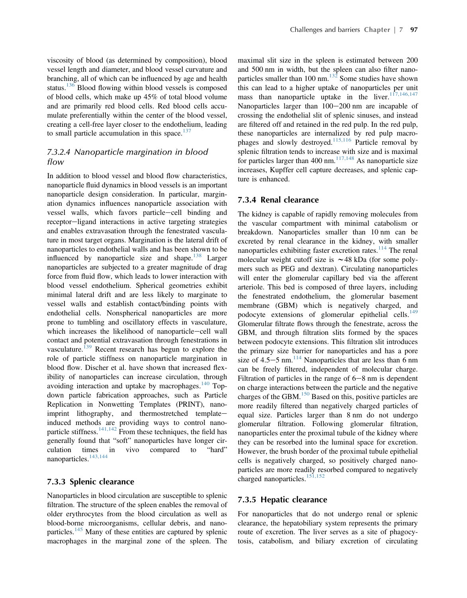viscosity of blood (as determined by composition), blood vessel length and diameter, and blood vessel curvature and branching, all of which can be influenced by age and health status.<sup>[136](#page-17-0)</sup> Blood flowing within blood vessels is composed of blood cells, which make up 45% of total blood volume and are primarily red blood cells. Red blood cells accumulate preferentially within the center of the blood vessel, creating a cell-free layer closer to the endothelium, leading to small particle accumulation in this space. $137$ 

## 7.3.2.4 Nanoparticle margination in blood flow

In addition to blood vessel and blood flow characteristics, nanoparticle fluid dynamics in blood vessels is an important nanoparticle design consideration. In particular, margination dynamics influences nanoparticle association with vessel walls, which favors particle-cell binding and receptor-ligand interactions in active targeting strategies and enables extravasation through the fenestrated vasculature in most target organs. Margination is the lateral drift of nanoparticles to endothelial walls and has been shown to be influenced by nanoparticle size and shape. $138$  Larger nanoparticles are subjected to a greater magnitude of drag force from fluid flow, which leads to lower interaction with blood vessel endothelium. Spherical geometries exhibit minimal lateral drift and are less likely to marginate to vessel walls and establish contact/binding points with endothelial cells. Nonspherical nanoparticles are more prone to tumbling and oscillatory effects in vasculature, which increases the likelihood of nanoparticle-cell wall contact and potential extravasation through fenestrations in vasculature.<sup>[139](#page-17-0)</sup> Recent research has begun to explore the role of particle stiffness on nanoparticle margination in blood flow. Discher et al. have shown that increased flexibility of nanoparticles can increase circulation, through avoiding interaction and uptake by macrophages. $140$  Topdown particle fabrication approaches, such as Particle Replication in Nonwetting Templates (PRINT), nanoimprint lithography, and thermostretched templateinduced methods are providing ways to control nanoparticle stiffness. $141,142$  From these techniques, the field has generally found that "soft" nanoparticles have longer circulation times in vivo compared to "hard" nanoparticles.<sup>[143,144](#page-17-0)</sup>

## 7.3.3 Splenic clearance

Nanoparticles in blood circulation are susceptible to splenic filtration. The structure of the spleen enables the removal of older erythrocytes from the blood circulation as well as blood-borne microorganisms, cellular debris, and nano-particles.<sup>[145](#page-17-0)</sup> Many of these entities are captured by splenic macrophages in the marginal zone of the spleen. The

maximal slit size in the spleen is estimated between 200 and 500 nm in width, but the spleen can also filter nanoparticles smaller than  $100 \text{ nm}$ .<sup>[132](#page-16-0)</sup> Some studies have shown this can lead to a higher uptake of nanoparticles per unit mass than nanoparticle uptake in the liver. $117,146,147$ Nanoparticles larger than  $100-200$  nm are incapable of crossing the endothelial slit of splenic sinuses, and instead are filtered off and retained in the red pulp. In the red pulp, these nanoparticles are internalized by red pulp macrophages and slowly destroyed.[115,116](#page-16-0) Particle removal by splenic filtration tends to increase with size and is maximal for particles larger than 400 nm. $117,148$  As nanoparticle size increases, Kupffer cell capture decreases, and splenic capture is enhanced.

## 7.3.4 Renal clearance

The kidney is capable of rapidly removing molecules from the vascular compartment with minimal catabolism or breakdown. Nanoparticles smaller than 10 nm can be excreted by renal clearance in the kidney, with smaller nanoparticles exhibiting faster excretion rates.<sup>[114](#page-16-0)</sup> The renal molecular weight cutoff size is  $\sim$  48 kDa (for some polymers such as PEG and dextran). Circulating nanoparticles will enter the glomerular capillary bed via the afferent arteriole. This bed is composed of three layers, including the fenestrated endothelium, the glomerular basement membrane (GBM) which is negatively charged, and podocyte extensions of glomerular epithelial cells.<sup>[149](#page-17-0)</sup> Glomerular filtrate flows through the fenestrate, across the GBM, and through filtration slits formed by the spaces between podocyte extensions. This filtration slit introduces the primary size barrier for nanoparticles and has a pore size of  $4.5-5$  nm.<sup>[114](#page-16-0)</sup> Nanoparticles that are less than 6 nm can be freely filtered, independent of molecular charge. Filtration of particles in the range of  $6-8$  nm is dependent on charge interactions between the particle and the negative charges of the GBM. $^{150}$  $^{150}$  $^{150}$  Based on this, positive particles are more readily filtered than negatively charged particles of equal size. Particles larger than 8 nm do not undergo glomerular filtration. Following glomerular filtration, nanoparticles enter the proximal tubule of the kidney where they can be resorbed into the luminal space for excretion. However, the brush border of the proximal tubule epithelial cells is negatively charged, so positively charged nanoparticles are more readily resorbed compared to negatively charged nanoparticles.<sup>[151,152](#page-17-0)</sup>

#### 7.3.5 Hepatic clearance

For nanoparticles that do not undergo renal or splenic clearance, the hepatobiliary system represents the primary route of excretion. The liver serves as a site of phagocytosis, catabolism, and biliary excretion of circulating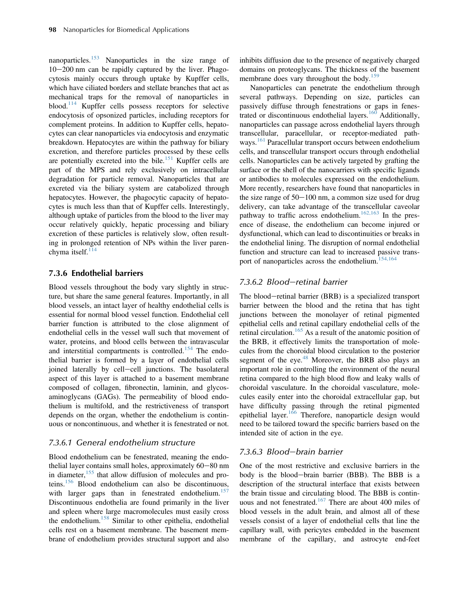nanoparticles.<sup>[153](#page-17-0)</sup> Nanoparticles in the size range of  $10-200$  nm can be rapidly captured by the liver. Phagocytosis mainly occurs through uptake by Kupffer cells, which have ciliated borders and stellate branches that act as mechanical traps for the removal of nanoparticles in blood.<sup>[114](#page-16-0)</sup> Kupffer cells possess receptors for selective endocytosis of opsonized particles, including receptors for complement proteins. In addition to Kupffer cells, hepatocytes can clear nanoparticles via endocytosis and enzymatic breakdown. Hepatocytes are within the pathway for biliary excretion, and therefore particles processed by these cells are potentially excreted into the bile. $151$  Kupffer cells are part of the MPS and rely exclusively on intracellular degradation for particle removal. Nanoparticles that are excreted via the biliary system are catabolized through hepatocytes. However, the phagocytic capacity of hepatocytes is much less than that of Kupffer cells. Interestingly, although uptake of particles from the blood to the liver may occur relatively quickly, hepatic processing and biliary excretion of these particles is relatively slow, often resulting in prolonged retention of NPs within the liver parenchyma itself. $^{114}$  $^{114}$  $^{114}$ 

## 7.3.6 Endothelial barriers

Blood vessels throughout the body vary slightly in structure, but share the same general features. Importantly, in all blood vessels, an intact layer of healthy endothelial cells is essential for normal blood vessel function. Endothelial cell barrier function is attributed to the close alignment of endothelial cells in the vessel wall such that movement of water, proteins, and blood cells between the intravascular and interstitial compartments is controlled.<sup>[154](#page-17-0)</sup> The endothelial barrier is formed by a layer of endothelial cells joined laterally by cell-cell junctions. The basolateral aspect of this layer is attached to a basement membrane composed of collagen, fibronectin, laminin, and glycosaminoglycans (GAGs). The permeability of blood endothelium is multifold, and the restrictiveness of transport depends on the organ, whether the endothelium is continuous or noncontinuous, and whether it is fenestrated or not.

## 7.3.6.1 General endothelium structure

Blood endothelium can be fenestrated, meaning the endothelial layer contains small holes, approximately  $60-80$  nm in diameter,[155](#page-17-0) that allow diffusion of molecules and proteins.[156](#page-17-0) Blood endothelium can also be discontinuous, with larger gaps than in fenestrated endothelium.<sup>[157](#page-17-0)</sup> Discontinuous endothelia are found primarily in the liver and spleen where large macromolecules must easily cross the endothelium.<sup>158</sup> Similar to other epithelia, endothelial cells rest on a basement membrane. The basement membrane of endothelium provides structural support and also

inhibits diffusion due to the presence of negatively charged domains on proteoglycans. The thickness of the basement membrane does vary throughout the body.<sup>[159](#page-17-0)</sup>

Nanoparticles can penetrate the endothelium through several pathways. Depending on size, particles can passively diffuse through fenestrations or gaps in fenes-trated or discontinuous endothelial layers.<sup>[160](#page-17-0)</sup> Additionally, nanoparticles can passage across endothelial layers through transcellular, paracellular, or receptor-mediated path-ways.<sup>[161](#page-17-0)</sup> Paracellular transport occurs between endothelium cells, and transcellular transport occurs through endothelial cells. Nanoparticles can be actively targeted by grafting the surface or the shell of the nanocarriers with specific ligands or antibodies to molecules expressed on the endothelium. More recently, researchers have found that nanoparticles in the size range of  $50-100$  nm, a common size used for drug delivery, can take advantage of the transcellular caveolar pathway to traffic across endothelium.<sup>[162,163](#page-17-0)</sup> In the presence of disease, the endothelium can become injured or dysfunctional, which can lead to discontinuities or breaks in the endothelial lining. The disruption of normal endothelial function and structure can lead to increased passive trans-port of nanoparticles across the endothelium.<sup>[154,164](#page-17-0)</sup>

## 7.3.6.2 Blood-retinal barrier

The blood-retinal barrier (BRB) is a specialized transport barrier between the blood and the retina that has tight junctions between the monolayer of retinal pigmented epithelial cells and retinal capillary endothelial cells of the retinal circulation.<sup>[165](#page-17-0)</sup> As a result of the anatomic position of the BRB, it effectively limits the transportation of molecules from the choroidal blood circulation to the posterior segment of the eye. $48$  Moreover, the BRB also plays an important role in controlling the environment of the neural retina compared to the high blood flow and leaky walls of choroidal vasculature. In the choroidal vasculature, molecules easily enter into the choroidal extracellular gap, but have difficulty passing through the retinal pigmented epithelial layer.[166](#page-17-0) Therefore, nanoparticle design would need to be tailored toward the specific barriers based on the intended site of action in the eye.

## 7.3.6.3 Blood-brain barrier

One of the most restrictive and exclusive barriers in the body is the blood-brain barrier (BBB). The BBB is a description of the structural interface that exists between the brain tissue and circulating blood. The BBB is contin-uous and not fenestrated.<sup>[167](#page-17-0)</sup> There are about 400 miles of blood vessels in the adult brain, and almost all of these vessels consist of a layer of endothelial cells that line the capillary wall, with pericytes embedded in the basement membrane of the capillary, and astrocyte end-feet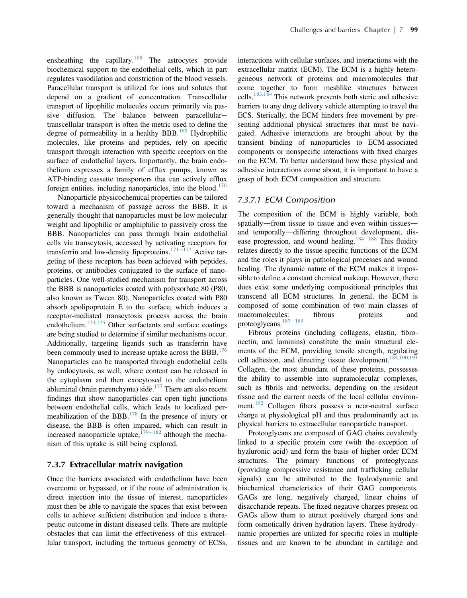ensheathing the capillary.<sup>[168](#page-17-0)</sup> The astrocytes provide biochemical support to the endothelial cells, which in part regulates vasodilation and constriction of the blood vessels. Paracellular transport is utilized for ions and solutes that depend on a gradient of concentration. Transcellular transport of lipophilic molecules occurs primarily via passive diffusion. The balance between paracellulartranscellular transport is often the metric used to define the degree of permeability in a healthy BBB.<sup>[169](#page-17-0)</sup> Hydrophilic molecules, like proteins and peptides, rely on specific transport through interaction with specific receptors on the surface of endothelial layers. Importantly, the brain endothelium expresses a family of efflux pumps, known as ATP-binding cassette transporters that can actively efflux foreign entities, including nanoparticles, into the blood. $170$ 

Nanoparticle physicochemical properties can be tailored toward a mechanism of passage across the BBB. It is generally thought that nanoparticles must be low molecular weight and lipophilic or amphiphilic to passively cross the BBB. Nanoparticles can pass through brain endothelial cells via transcytosis, accessed by activating receptors for transferrin and low-density lipoproteins.<sup>[171](#page-17-0)–173</sup> Active targeting of these receptors has been achieved with peptides, proteins, or antibodies conjugated to the surface of nanoparticles. One well-studied mechanism for transport across the BBB is nanoparticles coated with polysorbate 80 (P80, also known as Tween 80). Nanoparticles coated with P80 absorb apolipoprotein E to the surface, which induces a receptor-mediated transcytosis process across the brain endothelium.<sup>[174,175](#page-17-0)</sup> Other surfactants and surface coatings are being studied to determine if similar mechanisms occur. Additionally, targeting ligands such as transferrin have been commonly used to increase uptake across the BBB.<sup>[176](#page-18-0)</sup> Nanoparticles can be transported through endothelial cells by endocytosis, as well, where content can be released in the cytoplasm and then exocytosed to the endothelium abluminal (brain parenchyma) side. $177$  There are also recent findings that show nanoparticles can open tight junctions between endothelial cells, which leads to localized permeabilization of the BBB. $^{178}$  $^{178}$  $^{178}$  In the presence of injury or disease, the BBB is often impaired, which can result in increased nanoparticle uptake,  $179-182$  $179-182$  although the mechanism of this uptake is still being explored.

#### 7.3.7 Extracellular matrix navigation

Once the barriers associated with endothelium have been overcome or bypassed, or if the route of administration is direct injection into the tissue of interest, nanoparticles must then be able to navigate the spaces that exist between cells to achieve sufficient distribution and induce a therapeutic outcome in distant diseased cells. There are multiple obstacles that can limit the effectiveness of this extracellular transport, including the tortuous geometry of ECSs,

interactions with cellular surfaces, and interactions with the extracellular matrix (ECM). The ECM is a highly heterogeneous network of proteins and macromolecules that come together to form meshlike structures between cells.[183,184](#page-18-0) This network presents both steric and adhesive barriers to any drug delivery vehicle attempting to travel the ECS. Sterically, the ECM hinders free movement by presenting additional physical structures that must be navigated. Adhesive interactions are brought about by the transient binding of nanoparticles to ECM-associated components or nonspecific interactions with fixed charges on the ECM. To better understand how these physical and adhesive interactions come about, it is important to have a grasp of both ECM composition and structure.

#### 7.3.7.1 ECM Composition

The composition of the ECM is highly variable, both spatially—from tissue to tissue and even within tissues and temporally-differing throughout development, dis-ease progression, and wound healing.<sup>[184](#page-18-0)–188</sup> This fluidity relates directly to the tissue-specific functions of the ECM and the roles it plays in pathological processes and wound healing. The dynamic nature of the ECM makes it impossible to define a constant chemical makeup. However, there does exist some underlying compositional principles that transcend all ECM structures. In general, the ECM is composed of some combination of two main classes of macromolecules: fibrous proteins and proteoglycans. $187-189$  $187-189$ 

Fibrous proteins (including collagens, elastin, fibronectin, and laminins) constitute the main structural elements of the ECM, providing tensile strength, regulating cell adhesion, and directing tissue development.<sup>184,190,19</sup> Collagen, the most abundant of these proteins, possesses the ability to assemble into supramolecular complexes, such as fibrils and networks, depending on the resident tissue and the current needs of the local cellular environ-ment.<sup>[192](#page-18-0)</sup> Collagen fibers possess a near-neutral surface charge at physiological pH and thus predominantly act as physical barriers to extracellular nanoparticle transport.

Proteoglycans are composed of GAG chains covalently linked to a specific protein core (with the exception of hyaluronic acid) and form the basis of higher order ECM structures. The primary functions of proteoglycans (providing compressive resistance and trafficking cellular signals) can be attributed to the hydrodynamic and biochemical characteristics of their GAG components. GAGs are long, negatively charged, linear chains of disaccharide repeats. The fixed negative charges present on GAGs allow them to attract positively charged ions and form osmotically driven hydration layers. These hydrodynamic properties are utilized for specific roles in multiple tissues and are known to be abundant in cartilage and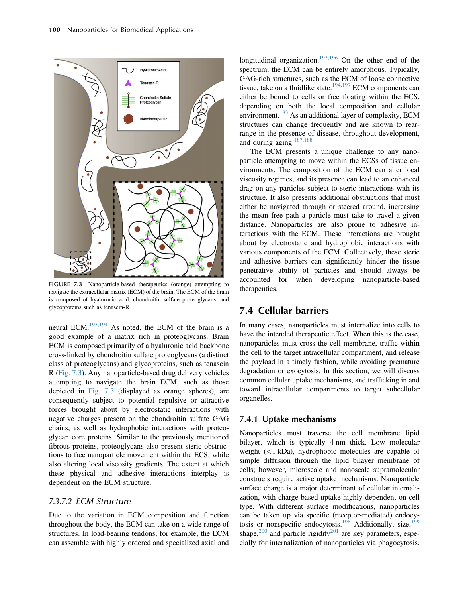<span id="page-11-0"></span>

FIGURE 7.3 Nanoparticle-based therapeutics (orange) attempting to navigate the extracellular matrix (ECM) of the brain. The ECM of the brain is composed of hyaluronic acid, chondroitin sulfate proteoglycans, and glycoproteins such as tenascin-R.

neural ECM.[193,194](#page-18-0) As noted, the ECM of the brain is a good example of a matrix rich in proteoglycans. Brain ECM is composed primarily of a hyaluronic acid backbone cross-linked by chondroitin sulfate proteoglycans (a distinct class of proteoglycans) and glycoproteins, such as tenascin R (Fig. 7.3). Any nanoparticle-based drug delivery vehicles attempting to navigate the brain ECM, such as those depicted in Fig. 7.3 (displayed as orange spheres), are consequently subject to potential repulsive or attractive forces brought about by electrostatic interactions with negative charges present on the chondroitin sulfate GAG chains, as well as hydrophobic interactions with proteoglycan core proteins. Similar to the previously mentioned fibrous proteins, proteoglycans also present steric obstructions to free nanoparticle movement within the ECS, while also altering local viscosity gradients. The extent at which these physical and adhesive interactions interplay is dependent on the ECM structure.

## 7.3.7.2 ECM Structure

Due to the variation in ECM composition and function throughout the body, the ECM can take on a wide range of structures. In load-bearing tendons, for example, the ECM can assemble with highly ordered and specialized axial and

longitudinal organization.<sup>[195,196](#page-18-0)</sup> On the other end of the spectrum, the ECM can be entirely amorphous. Typically, GAG-rich structures, such as the ECM of loose connective tissue, take on a fluidlike state.<sup>[194,197](#page-18-0)</sup> ECM components can either be bound to cells or free floating within the ECS, depending on both the local composition and cellular environment.<sup>[183](#page-18-0)</sup> As an additional layer of complexity, ECM structures can change frequently and are known to rearrange in the presence of disease, throughout development, and during aging.<sup>[187,188](#page-18-0)</sup>

The ECM presents a unique challenge to any nanoparticle attempting to move within the ECSs of tissue environments. The composition of the ECM can alter local viscosity regimes, and its presence can lead to an enhanced drag on any particles subject to steric interactions with its structure. It also presents additional obstructions that must either be navigated through or steered around, increasing the mean free path a particle must take to travel a given distance. Nanoparticles are also prone to adhesive interactions with the ECM. These interactions are brought about by electrostatic and hydrophobic interactions with various components of the ECM. Collectively, these steric and adhesive barriers can significantly hinder the tissue penetrative ability of particles and should always be accounted for when developing nanoparticle-based therapeutics.

## 7.4 Cellular barriers

In many cases, nanoparticles must internalize into cells to have the intended therapeutic effect. When this is the case, nanoparticles must cross the cell membrane, traffic within the cell to the target intracellular compartment, and release the payload in a timely fashion, while avoiding premature degradation or exocytosis. In this section, we will discuss common cellular uptake mechanisms, and trafficking in and toward intracellular compartments to target subcellular organelles.

#### 7.4.1 Uptake mechanisms

Nanoparticles must traverse the cell membrane lipid bilayer, which is typically 4 nm thick. Low molecular weight (<1 kDa), hydrophobic molecules are capable of simple diffusion through the lipid bilayer membrane of cells; however, microscale and nanoscale supramolecular constructs require active uptake mechanisms. Nanoparticle surface charge is a major determinant of cellular internalization, with charge-based uptake highly dependent on cell type. With different surface modifications, nanoparticles can be taken up via specific (receptor-mediated) endocy-tosis or nonspecific endocytosis.<sup>[198](#page-18-0)</sup> Additionally, size,<sup>[199](#page-18-0)</sup> shape, $200$  and particle rigidity $201$  are key parameters, especially for internalization of nanoparticles via phagocytosis.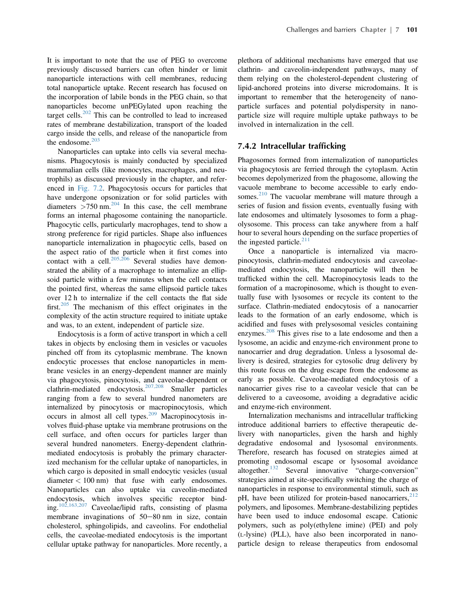It is important to note that the use of PEG to overcome previously discussed barriers can often hinder or limit nanoparticle interactions with cell membranes, reducing total nanoparticle uptake. Recent research has focused on the incorporation of labile bonds in the PEG chain, so that nanoparticles become unPEGylated upon reaching the target cells. $202$  This can be controlled to lead to increased rates of membrane destabilization, transport of the loaded cargo inside the cells, and release of the nanoparticle from the endosome. $203$ 

Nanoparticles can uptake into cells via several mechanisms. Phagocytosis is mainly conducted by specialized mammalian cells (like monocytes, macrophages, and neutrophils) as discussed previously in the chapter, and referenced in [Fig. 7.2.](#page-7-0) Phagocytosis occurs for particles that have undergone opsonization or for solid particles with diameters  $>750$  nm.<sup>[204](#page-18-0)</sup> In this case, the cell membrane forms an internal phagosome containing the nanoparticle. Phagocytic cells, particularly macrophages, tend to show a strong preference for rigid particles. Shape also influences nanoparticle internalization in phagocytic cells, based on the aspect ratio of the particle when it first comes into contact with a cell.<sup>[205,206](#page-18-0)</sup> Several studies have demonstrated the ability of a macrophage to internalize an ellipsoid particle within a few minutes when the cell contacts the pointed first, whereas the same ellipsoid particle takes over 12 h to internalize if the cell contacts the flat side first.<sup>[205](#page-18-0)</sup> The mechanism of this effect originates in the complexity of the actin structure required to initiate uptake and was, to an extent, independent of particle size.

Endocytosis is a form of active transport in which a cell takes in objects by enclosing them in vesicles or vacuoles pinched off from its cytoplasmic membrane. The known endocytic processes that enclose nanoparticles in membrane vesicles in an energy-dependent manner are mainly via phagocytosis, pinocytosis, and caveolae-dependent or clathrin-mediated endocytosis.[207,208](#page-18-0) Smaller particles ranging from a few to several hundred nanometers are internalized by pinocytosis or macropinocytosis, which occurs in almost all cell types. $209$  Macropinocytosis involves fluid-phase uptake via membrane protrusions on the cell surface, and often occurs for particles larger than several hundred nanometers. Energy-dependent clathrinmediated endocytosis is probably the primary characterized mechanism for the cellular uptake of nanoparticles, in which cargo is deposited in small endocytic vesicles (usual diameter  $< 100$  nm) that fuse with early endosomes. Nanoparticles can also uptake via caveolin-mediated endocytosis, which involves specific receptor binding.[102,163,207](#page-16-0) Caveolae/lipid rafts, consisting of plasma membrane invaginations of  $50-80$  nm in size, contain cholesterol, sphingolipids, and caveolins. For endothelial cells, the caveolae-mediated endocytosis is the important cellular uptake pathway for nanoparticles. More recently, a

plethora of additional mechanisms have emerged that use clathrin- and caveolin-independent pathways, many of them relying on the cholesterol-dependent clustering of lipid-anchored proteins into diverse microdomains. It is important to remember that the heterogeneity of nanoparticle surfaces and potential polydispersity in nanoparticle size will require multiple uptake pathways to be involved in internalization in the cell.

#### 7.4.2 Intracellular trafficking

Phagosomes formed from internalization of nanoparticles via phagocytosis are ferried through the cytoplasm. Actin becomes depolymerized from the phagosome, allowing the vacuole membrane to become accessible to early endosomes. $^{210}$  $^{210}$  $^{210}$  The vacuolar membrane will mature through a series of fusion and fission events, eventually fusing with late endosomes and ultimately lysosomes to form a phagolysosome. This process can take anywhere from a half hour to several hours depending on the surface properties of the ingested particle. $211$ 

Once a nanoparticle is internalized via macropinocytosis, clathrin-mediated endocytosis and caveolaemediated endocytosis, the nanoparticle will then be trafficked within the cell. Macropinocytosis leads to the formation of a macropinosome, which is thought to eventually fuse with lysosomes or recycle its content to the surface. Clathrin-mediated endocytosis of a nanocarrier leads to the formation of an early endosome, which is acidified and fuses with prelysosomal vesicles containing enzymes.<sup>[208](#page-18-0)</sup> This gives rise to a late endosome and then a lysosome, an acidic and enzyme-rich environment prone to nanocarrier and drug degradation. Unless a lysosomal delivery is desired, strategies for cytosolic drug delivery by this route focus on the drug escape from the endosome as early as possible. Caveolae-mediated endocytosis of a nanocarrier gives rise to a caveolar vesicle that can be delivered to a caveosome, avoiding a degradative acidic and enzyme-rich environment.

Internalization mechanisms and intracellular trafficking introduce additional barriers to effective therapeutic delivery with nanoparticles, given the harsh and highly degradative endosomal and lysosomal environments. Therefore, research has focused on strategies aimed at promoting endosomal escape or lysosomal avoidance altogether.<sup>[132](#page-16-0)</sup> Several innovative "charge-conversion" strategies aimed at site-specifically switching the charge of nanoparticles in response to environmental stimuli, such as pH, have been utilized for protein-based nanocarriers, $212$ polymers, and liposomes. Membrane-destabilizing peptides have been used to induce endosomal escape. Cationic polymers, such as poly(ethylene imine) (PEI) and poly (L-lysine) (PLL), have also been incorporated in nanoparticle design to release therapeutics from endosomal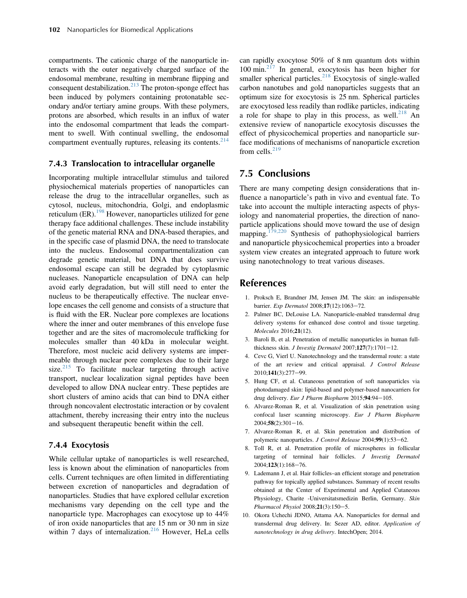<span id="page-13-0"></span>compartments. The cationic charge of the nanoparticle interacts with the outer negatively charged surface of the endosomal membrane, resulting in membrane flipping and consequent destabilization.<sup>[213](#page-18-0)</sup> The proton-sponge effect has been induced by polymers containing protonatable secondary and/or tertiary amine groups. With these polymers, protons are absorbed, which results in an influx of water into the endosomal compartment that leads the compartment to swell. With continual swelling, the endosomal compartment eventually ruptures, releasing its contents.<sup>[214](#page-18-0)</sup>

#### 7.4.3 Translocation to intracellular organelle

Incorporating multiple intracellular stimulus and tailored physiochemical materials properties of nanoparticles can release the drug to the intracellular organelles, such as cytosol, nucleus, mitochondria, Golgi, and endoplasmic reticulum (ER).<sup>[198](#page-18-0)</sup> However, nanoparticles utilized for gene therapy face additional challenges. These include instability of the genetic material RNA and DNA-based therapies, and in the specific case of plasmid DNA, the need to translocate into the nucleus. Endosomal compartmentalization can degrade genetic material, but DNA that does survive endosomal escape can still be degraded by cytoplasmic nucleases. Nanoparticle encapsulation of DNA can help avoid early degradation, but will still need to enter the nucleus to be therapeutically effective. The nuclear envelope encases the cell genome and consists of a structure that is fluid with the ER. Nuclear pore complexes are locations where the inner and outer membranes of this envelope fuse together and are the sites of macromolecule trafficking for molecules smaller than 40 kDa in molecular weight. Therefore, most nucleic acid delivery systems are impermeable through nuclear pore complexes due to their large size. $215$  To facilitate nuclear targeting through active transport, nuclear localization signal peptides have been developed to allow DNA nuclear entry. These peptides are short clusters of amino acids that can bind to DNA either through noncovalent electrostatic interaction or by covalent attachment, thereby increasing their entry into the nucleus and subsequent therapeutic benefit within the cell.

#### 7.4.4 Exocytosis

While cellular uptake of nanoparticles is well researched, less is known about the elimination of nanoparticles from cells. Current techniques are often limited in differentiating between excretion of nanoparticles and degradation of nanoparticles. Studies that have explored cellular excretion mechanisms vary depending on the cell type and the nanoparticle type. Macrophages can exocytose up to 44% of iron oxide nanoparticles that are 15 nm or 30 nm in size within 7 days of internalization.<sup>[216](#page-18-0)</sup> However, HeLa cells can rapidly exocytose 50% of 8 nm quantum dots within 100 min.[217](#page-18-0) In general, exocytosis has been higher for smaller spherical particles. $2^{18}$  Exocytosis of single-walled carbon nanotubes and gold nanoparticles suggests that an optimum size for exocytosis is 25 nm. Spherical particles are exocytosed less readily than rodlike particles, indicating a role for shape to play in this process, as well.<sup>[218](#page-18-0)</sup> An extensive review of nanoparticle exocytosis discusses the effect of physicochemical properties and nanoparticle surface modifications of mechanisms of nanoparticle excretion from cells. $219$ 

## 7.5 Conclusions

There are many competing design considerations that influence a nanoparticle's path in vivo and eventual fate. To take into account the multiple interacting aspects of physiology and nanomaterial properties, the direction of nanoparticle applications should move toward the use of design mapping.<sup>[179,220](#page-18-0)</sup> Synthesis of pathophysiological barriers and nanoparticle physicochemical properties into a broader system view creates an integrated approach to future work using nanotechnology to treat various diseases.

## References

- 1. Proksch E, Brandner JM, Jensen JM. The skin: an indispensable barrier. Exp Dermatol 2008;17(12):1063-72.
- 2. Palmer BC, DeLouise LA. Nanoparticle-enabled transdermal drug delivery systems for enhanced dose control and tissue targeting. Molecules 2016;21(12).
- 3. Baroli B, et al. Penetration of metallic nanoparticles in human fullthickness skin. J Investig Dermatol  $2007;127(7):1701-12$ .
- 4. Cevc G, Vierl U. Nanotechnology and the transdermal route: a state of the art review and critical appraisal. J Control Release 2010;141(3):277-99.
- 5. Hung CF, et al. Cutaneous penetration of soft nanoparticles via photodamaged skin: lipid-based and polymer-based nanocarriers for drug delivery. Eur J Pharm Biopharm 2015;94:94-105.
- 6. Alvarez-Roman R, et al. Visualization of skin penetration using confocal laser scanning microscopy. Eur J Pharm Biopharm  $2004;58(2):301-16.$
- 7. Alvarez-Roman R, et al. Skin penetration and distribution of polymeric nanoparticles. J Control Release 2004;99(1):53-62.
- 8. Toll R, et al. Penetration profile of microspheres in follicular targeting of terminal hair follicles. J Investig Dermatol 2004;123(1):168-76.
- 9. Lademann J, et al. Hair follicles–an efficient storage and penetration pathway for topically applied substances. Summary of recent results obtained at the Center of Experimental and Applied Cutaneous Physiology, Charite -Universitatsmedizin Berlin, Germany. Skin Pharmacol Physiol 2008;21(3):150-5.
- 10. Okora Uchechi JDNO, Attama AA. Nanoparticles for dermal and transdermal drug delivery. In: Sezer AD, editor. Application of nanotechnology in drug delivery. IntechOpen; 2014.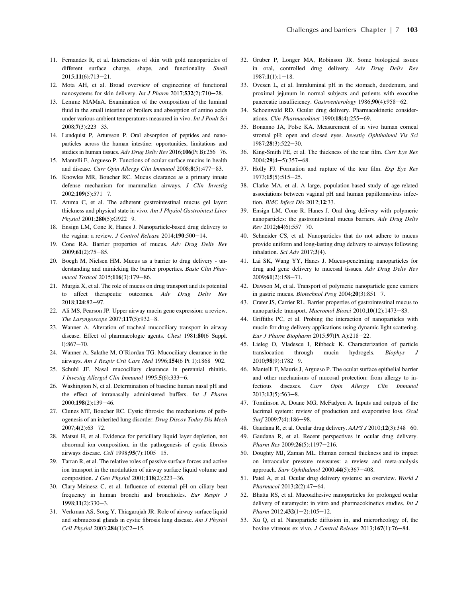- <span id="page-14-0"></span>11. Fernandes R, et al. Interactions of skin with gold nanoparticles of different surface charge, shape, and functionality. Small 2015;11(6):713-21.
- 12. Mota AH, et al. Broad overview of engineering of functional nanosystems for skin delivery. *Int J Pharm*  $2017$ ;  $532(2)$ :  $710-28$ .
- 13. Lemme MAMaA. Examination of the composition of the luminal fluid in the small intestine of broilers and absorption of amino acids under various ambient temperatures measured in vivo. Int J Poult Sci 2008;7(3):223-33.
- 14. Lundquist P, Artursson P. Oral absorption of peptides and nanoparticles across the human intestine: opportunities, limitations and studies in human tissues. Adv Drug Deliv Rev 2016;106(Pt B):256-76.
- 15. Mantelli F, Argueso P. Functions of ocular surface mucins in health and disease. Curr Opin Allergy Clin Immunol 2008;8(5):477-83.
- 16. Knowles MR, Boucher RC. Mucus clearance as a primary innate defense mechanism for mammalian airways. J Clin Investig  $2002:109(5):571-7.$
- 17. Atuma C, et al. The adherent gastrointestinal mucus gel layer: thickness and physical state in vivo. Am J Physiol Gastrointest Liver Physiol 2001;280(5):G922-9.
- 18. Ensign LM, Cone R, Hanes J. Nanoparticle-based drug delivery to the vagina: a review. *J Control Release*  $2014;190:500-14$ .
- 19. Cone RA. Barrier properties of mucus. Adv Drug Deliv Rev 2009;61(2):75-85.
- 20. Boegh M, Nielsen HM. Mucus as a barrier to drug delivery understanding and mimicking the barrier properties. Basic Clin Pharmacol Toxicol 2015;116(3):179-86.
- 21. Murgia X, et al. The role of mucus on drug transport and its potential to affect therapeutic outcomes. Adv Drug Deliv Rev 2018;124:82-97.
- 22. Ali MS, Pearson JP. Upper airway mucin gene expression: a review. The Laryngoscope  $2007;117(5):932-8$ .
- 23. Wanner A. Alteration of tracheal mucociliary transport in airway disease. Effect of pharmacologic agents. Chest 1981;80(6 Suppl. l): $867 - 70$ .
- 24. Wanner A, Salathe M, O'Riordan TG. Mucociliary clearance in the airways. Am J Respir Crit Care Med 1996;154(6 Pt 1):1868-902.
- 25. Schuhl JF. Nasal mucociliary clearance in perennial rhinitis. J Investig Allergol Clin Immunol 1995;5(6):333-6.
- 26. Washington N, et al. Determination of baseline human nasal pH and the effect of intranasally administered buffers. Int J Pharm 2000;198(2):139-46.
- 27. Clunes MT, Boucher RC. Cystic fibrosis: the mechanisms of pathogenesis of an inherited lung disorder. Drug Discov Today Dis Mech  $2007;4(2):63-72.$
- 28. Matsui H, et al. Evidence for periciliary liquid layer depletion, not abnormal ion composition, in the pathogenesis of cystic fibrosis airways disease. Cell 1998;95(7):1005-15.
- 29. Tarran R, et al. The relative roles of passive surface forces and active ion transport in the modulation of airway surface liquid volume and composition. J Gen Physiol  $2001;118(2):223-36$ .
- 30. Clary-Meinesz C, et al. Influence of external pH on ciliary beat frequency in human bronchi and bronchioles. Eur Respir J  $1998;11(2):330-3.$
- 31. Verkman AS, Song Y, Thiagarajah JR. Role of airway surface liquid and submucosal glands in cystic fibrosis lung disease. Am J Physiol Cell Physiol 2003;284(1):C2-15.
- 32. Gruber P, Longer MA, Robinson JR. Some biological issues in oral, controlled drug delivery. Adv Drug Deliv Rev  $1987:1(1):1-18.$
- 33. Ovesen L, et al. Intraluminal pH in the stomach, duodenum, and proximal jejunum in normal subjects and patients with exocrine pancreatic insufficiency. Gastroenterology 1986;90(4):958-62.
- 34. Schoenwald RD. Ocular drug delivery. Pharmacokinetic considerations. Clin Pharmacokinet  $1990;18(4):255-69$ .
- 35. Bonanno JA, Polse KA. Measurement of in vivo human corneal stromal pH: open and closed eyes. Investig Ophthalmol Vis Sci 1987;28(3):522-30.
- 36. King-Smith PE, et al. The thickness of the tear film. Curr Eye Res  $2004;29(4-5):357-68.$
- 37. Holly FJ. Formation and rupture of the tear film. Exp Eye Res  $1973;15(5):515-25.$
- 38. Clarke MA, et al. A large, population-based study of age-related associations between vaginal pH and human papillomavirus infection. BMC Infect Dis 2012;12:33.
- 39. Ensign LM, Cone R, Hanes J. Oral drug delivery with polymeric nanoparticles: the gastrointestinal mucus barriers. Adv Drug Deliv  $Rev 2012; 64(6): 557-70.$
- 40. Schneider CS, et al. Nanoparticles that do not adhere to mucus provide uniform and long-lasting drug delivery to airways following inhalation. Sci Adv 2017;3(4).
- 41. Lai SK, Wang YY, Hanes J. Mucus-penetrating nanoparticles for drug and gene delivery to mucosal tissues. Adv Drug Deliv Rev  $2009:61(2):158-71.$
- 42. Dawson M, et al. Transport of polymeric nanoparticle gene carriers in gastric mucus. Biotechnol Prog  $2004;20(3):851-7$ .
- 43. Crater JS, Carrier RL. Barrier properties of gastrointestinal mucus to nanoparticle transport. Macromol Biosci 2010;10(12):1473-83.
- 44. Griffiths PC, et al. Probing the interaction of nanoparticles with mucin for drug delivery applications using dynamic light scattering. Eur J Pharm Biopharm 2015;97(Pt A):218-22.
- 45. Lieleg O, Vladescu I, Ribbeck K. Characterization of particle translocation through mucin hydrogels. Biophys 2010;98(9):1782-9.
- 46. Mantelli F, Mauris J, Argueso P. The ocular surface epithelial barrier and other mechanisms of mucosal protection: from allergy to infectious diseases. Curr Opin Allergy Clin Immunol  $2013:13(5):563-8.$
- 47. Tomlinson A, Doane MG, McFadyen A. Inputs and outputs of the lacrimal system: review of production and evaporative loss. Ocul Surf 2009;7(4):186-98.
- 48. Gaudana R, et al. Ocular drug delivery. AAPS J 2010;12(3):348-60.
- 49. Gaudana R, et al. Recent perspectives in ocular drug delivery. Pharm Res 2009;26(5):1197-216.
- 50. Doughty MJ, Zaman ML. Human corneal thickness and its impact on intraocular pressure measures: a review and meta-analysis approach. Surv Ophthalmol 2000;44(5):367-408.
- 51. Patel A, et al. Ocular drug delivery systems: an overview. World J Pharmacol 2013;2(2):47-64.
- 52. Bhatta RS, et al. Mucoadhesive nanoparticles for prolonged ocular delivery of natamycin: in vitro and pharmacokinetics studies. Int J Pharm  $2012;432(1-2):105-12$ .
- 53. Xu Q, et al. Nanoparticle diffusion in, and microrheology of, the bovine vitreous ex vivo. J Control Release 2013;167(1):76-84.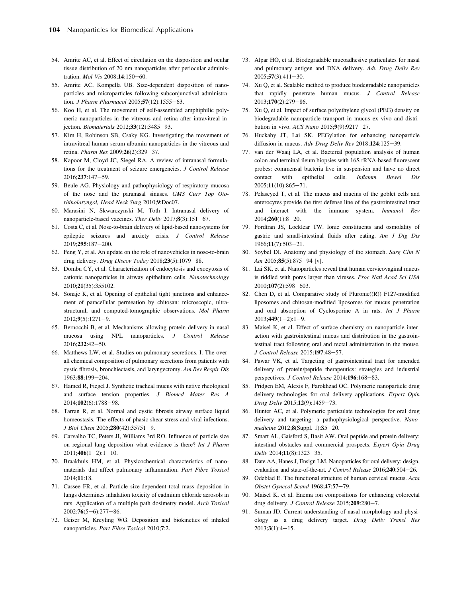- <span id="page-15-0"></span>54. Amrite AC, et al. Effect of circulation on the disposition and ocular tissue distribution of 20 nm nanoparticles after periocular administration. Mol Vis 2008;14:150-60.
- 55. Amrite AC, Kompella UB. Size-dependent disposition of nanoparticles and microparticles following subconjunctival administration. J Pharm Pharmacol 2005;57(12):1555-63.
- 56. Koo H, et al. The movement of self-assembled amphiphilic polymeric nanoparticles in the vitreous and retina after intravitreal injection. Biomaterials 2012;33(12):3485-93.
- 57. Kim H, Robinson SB, Csaky KG. Investigating the movement of intravitreal human serum albumin nanoparticles in the vitreous and retina. Pharm Res 2009;26(2):329-37.
- 58. Kapoor M, Cloyd JC, Siegel RA. A review of intranasal formulations for the treatment of seizure emergencies. J Control Release 2016;237:147-59.
- 59. Beule AG. Physiology and pathophysiology of respiratory mucosa of the nose and the paranasal sinuses. GMS Curr Top Otorhinolaryngol, Head Neck Surg 2010;9:Doc07.
- 60. Marasini N, Skwarczynski M, Toth I. Intranasal delivery of nanoparticle-based vaccines. Ther Deliv 2017;8(3):151-67.
- 61. Costa C, et al. Nose-to-brain delivery of lipid-based nanosystems for epileptic seizures and anxiety crisis. J Control Release 2019;295:187-200.
- 62. Feng Y, et al. An update on the role of nanovehicles in nose-to-brain drug delivery. Drug Discov Today 2018;23(5):1079-88.
- 63. Dombu CY, et al. Characterization of endocytosis and exocytosis of cationic nanoparticles in airway epithelium cells. Nanotechnology 2010;21(35):355102.
- 64. Sonaje K, et al. Opening of epithelial tight junctions and enhancement of paracellular permeation by chitosan: microscopic, ultrastructural, and computed-tomographic observations. Mol Pharm  $2012;9(5):1271-9.$
- 65. Bernocchi B, et al. Mechanisms allowing protein delivery in nasal mucosa using NPL nanoparticles. J Control Release 2016;232:42-50.
- 66. Matthews LW, et al. Studies on pulmonary secretions. I. The overall chemical composition of pulmonary secretions from patients with cystic fibrosis, bronchiectasis, and laryngectomy. Am Rev Respir Dis 1963:88:199-204.
- 67. Hamed R, Fiegel J. Synthetic tracheal mucus with native rheological and surface tension properties. J Biomed Mater Res A 2014;102(6):1788-98.
- 68. Tarran R, et al. Normal and cystic fibrosis airway surface liquid homeostasis. The effects of phasic shear stress and viral infections. J Biol Chem 2005;280(42):35751-9.
- 69. Carvalho TC, Peters JI, Williams 3rd RO. Influence of particle size on regional lung deposition–what evidence is there? Int J Pharm  $2011;406(1-2):1-10.$
- 70. Braakhuis HM, et al. Physicochemical characteristics of nanomaterials that affect pulmonary inflammation. Part Fibre Toxicol 2014;11:18.
- 71. Cassee FR, et al. Particle size-dependent total mass deposition in lungs determines inhalation toxicity of cadmium chloride aerosols in rats. Application of a multiple path dosimetry model. Arch Toxicol  $2002;76(5-6):277-86.$
- 72. Geiser M, Kreyling WG. Deposition and biokinetics of inhaled nanoparticles. Part Fibre Toxicol 2010;7:2.
- 73. Alpar HO, et al. Biodegradable mucoadhesive particulates for nasal and pulmonary antigen and DNA delivery. Adv Drug Deliv Rev  $2005;57(3):411-30.$
- 74. Xu Q, et al. Scalable method to produce biodegradable nanoparticles that rapidly penetrate human mucus. J Control Release 2013;170(2):279-86.
- 75. Xu Q, et al. Impact of surface polyethylene glycol (PEG) density on biodegradable nanoparticle transport in mucus ex vivo and distribution in vivo. ACS Nano 2015;9(9):9217-27.
- 76. Huckaby JT, Lai SK. PEGylation for enhancing nanoparticle diffusion in mucus. Adv Drug Deliv Rev 2018;124:125-39.
- 77. van der Waaij LA, et al. Bacterial population analysis of human colon and terminal ileum biopsies with 16S rRNA-based fluorescent probes: commensal bacteria live in suspension and have no direct contact with epithelial cells. Inflamm Bowel Dis  $2005;11(10):865-71.$
- 78. Pelaseyed T, et al. The mucus and mucins of the goblet cells and enterocytes provide the first defense line of the gastrointestinal tract and interact with the immune system. Immunol Rev  $2014;260(1):8-20.$
- 79. Fordtran JS, Locklear TW. Ionic constituents and osmolality of gastric and small-intestinal fluids after eating. Am J Dig Dis 1966;11(7):503-21.
- 80. Soybel DI. Anatomy and physiology of the stomach. Surg Clin N Am  $2005;85(5):875-94$  [v].
- 81. Lai SK, et al. Nanoparticles reveal that human cervicovaginal mucus is riddled with pores larger than viruses. Proc Natl Acad Sci USA 2010;107(2):598-603.
- 82. Chen D, et al. Comparative study of Pluronic((R)) F127-modified liposomes and chitosan-modified liposomes for mucus penetration and oral absorption of Cyclosporine A in rats. Int J Pharm  $2013;449(1-2):1-9.$
- 83. Maisel K, et al. Effect of surface chemistry on nanoparticle interaction with gastrointestinal mucus and distribution in the gastrointestinal tract following oral and rectal administration in the mouse.  $J$  Control Release 2015;197:48-57.
- 84. Pawar VK, et al. Targeting of gastrointestinal tract for amended delivery of protein/peptide therapeutics: strategies and industrial perspectives. J Control Release 2014;196:168-83.
- 85. Pridgen EM, Alexis F, Farokhzad OC. Polymeric nanoparticle drug delivery technologies for oral delivery applications. Expert Opin Drug Deliv 2015;12(9):1459-73.
- 86. Hunter AC, et al. Polymeric particulate technologies for oral drug delivery and targeting: a pathophysiological perspective. Nanomedicine 2012;8(Suppl. 1):S5-20.
- 87. Smart AL, Gaisford S, Basit AW. Oral peptide and protein delivery: intestinal obstacles and commercial prospects. Expert Opin Drug Deliv 2014;11(8):1323-35.
- 88. Date AA, Hanes J, Ensign LM. Nanoparticles for oral delivery: design, evaluation and state-of-the-art. J Control Release  $2016;240:504-26$ .
- 89. Odeblad E. The functional structure of human cervical mucus. Acta Obstet Gynecol Scand 1968;47:57-79.
- 90. Maisel K, et al. Enema ion compositions for enhancing colorectal drug delivery. J Control Release 2015;209:280-7.
- Suman JD. Current understanding of nasal morphology and physiology as a drug delivery target. Drug Deliv Transl Res  $2013;3(1):4-15.$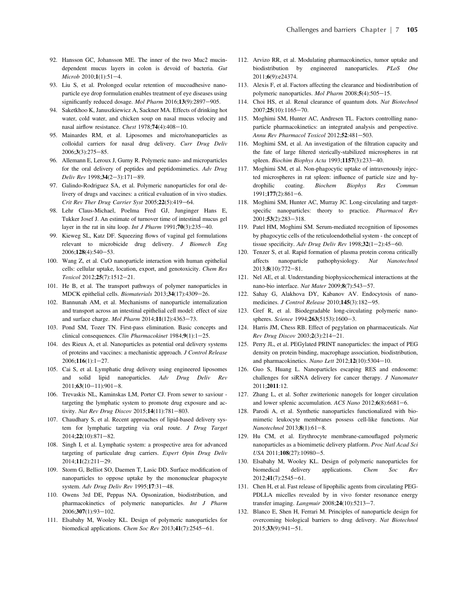- <span id="page-16-0"></span>92. Hansson GC, Johansson ME. The inner of the two Muc2 mucindependent mucus layers in colon is devoid of bacteria. Gut Microb 2010;1(1):51-4.
- 93. Liu S, et al. Prolonged ocular retention of mucoadhesive nanoparticle eye drop formulation enables treatment of eye diseases using significantly reduced dosage. Mol Pharm  $2016;13(9):2897-905$ .
- 94. Saketkhoo K, Januszkiewicz A, Sackner MA. Effects of drinking hot water, cold water, and chicken soup on nasal mucus velocity and nasal airflow resistance. Chest  $1978;74(4):408-10$ .
- 95. Mainardes RM, et al. Liposomes and micro/nanoparticles as colloidal carriers for nasal drug delivery. Curr Drug Deliv  $2006;3(3):275-85.$
- 96. Allemann E, Leroux J, Gurny R. Polymeric nano- and microparticles for the oral delivery of peptides and peptidomimetics. Adv Drug Deliv Rev 1998;34(2-3):171-89.
- 97. Galindo-Rodriguez SA, et al. Polymeric nanoparticles for oral delivery of drugs and vaccines: a critical evaluation of in vivo studies. Crit Rev Ther Drug Carrier Syst  $2005;22(5):419-64$ .
- 98. Lehr Claus-Michael, Poelma Fred GJ, Junginger Hans E, Tukker Josef J. An estimate of turnover time of intestinal mucus gel layer in the rat in situ loop. *Int J Pharm* 1991;70(3):235-40.
- 99. Kieweg SL, Katz DF. Squeezing flows of vaginal gel formulations relevant to microbicide drug delivery. J Biomech Eng 2006;128(4):540-53.
- 100. Wang Z, et al. CuO nanoparticle interaction with human epithelial cells: cellular uptake, location, export, and genotoxicity. Chem Res Toxicol 2012;25(7):1512-21.
- 101. He B, et al. The transport pathways of polymer nanoparticles in MDCK epithelial cells. Biomaterials 2013;34(17):4309-26.
- 102. Bannunah AM, et al. Mechanisms of nanoparticle internalization and transport across an intestinal epithelial cell model: effect of size and surface charge. Mol Pharm  $2014;11(12):4363-73$ .
- 103. Pond SM, Tozer TN. First-pass elimination. Basic concepts and clinical consequences. Clin Pharmacokinet 1984;9(1):1-25.
- 104. des Rieux A, et al. Nanoparticles as potential oral delivery systems of proteins and vaccines: a mechanistic approach. J Control Release  $2006:116(1):1-27.$
- 105. Cai S, et al. Lymphatic drug delivery using engineered liposomes and solid lipid nanoparticles. Adv Drug Deliv Rev  $2011;63(10-11):901-8.$
- 106. Trevaskis NL, Kaminskas LM, Porter CJ. From sewer to saviour targeting the lymphatic system to promote drug exposure and activity. Nat Rev Drug Discov 2015;14(11):781-803.
- 107. Chaudhary S, et al. Recent approaches of lipid-based delivery system for lymphatic targeting via oral route. J Drug Target 2014;22(10):871-82.
- 108. Singh I, et al. Lymphatic system: a prospective area for advanced targeting of particulate drug carriers. Expert Opin Drug Deliv 2014;11(2):211-29.
- 109. Storm G, Belliot SO, Daemen T, Lasic DD. Surface modification of nanoparticles to oppose uptake by the mononuclear phagocyte system. Adv Drug Deliv Rev 1995;17:31-48.
- 110. Owens 3rd DE, Peppas NA. Opsonization, biodistribution, and pharmacokinetics of polymeric nanoparticles. Int J Pharm  $2006;307(1):93-102.$
- 111. Elsabahy M, Wooley KL. Design of polymeric nanoparticles for biomedical applications. Chem Soc Rev 2013;41(7):2545-61.
- 112. Arvizo RR, et al. Modulating pharmacokinetics, tumor uptake and biodistribution by engineered nanoparticles. PLoS One 2011;6(9):e24374.
- 113. Alexis F, et al. Factors affecting the clearance and biodistribution of polymeric nanoparticles. Mol Pharm  $2008; 5(4):505-15$ .
- 114. Choi HS, et al. Renal clearance of quantum dots. Nat Biotechnol  $2007:25(10):1165-70.$
- 115. Moghimi SM, Hunter AC, Andresen TL. Factors controlling nanoparticle pharmacokinetics: an integrated analysis and perspective. Annu Rev Pharmacol Toxicol 2012;52:481-503.
- 116. Moghimi SM, et al. An investigation of the filtration capacity and the fate of large filtered sterically-stabilized microspheres in rat spleen. Biochim Biophys Acta 1993;1157(3):233-40.
- 117. Moghimi SM, et al. Non-phagocytic uptake of intravenously injected microspheres in rat spleen: influence of particle size and hydrophilic coating. Biochem Biophys Res Commun 1991;177(2):861-6.
- 118. Moghimi SM, Hunter AC, Murray JC. Long-circulating and targetspecific nanoparticles: theory to practice. Pharmacol Rev 2001;53(2):283-318.
- 119. Patel HM, Moghimi SM. Serum-mediated recognition of liposomes by phagocytic cells of the reticuloendothelial system - the concept of tissue specificity. Adv Drug Deliv Rev 1998; $32(1-2)$ :45-60.
- 120. Tenzer S, et al. Rapid formation of plasma protein corona critically affects nanoparticle pathophysiology. Nat Nanotechnol  $2013;8(10):772-81.$
- 121. Nel AE, et al. Understanding biophysicochemical interactions at the nano-bio interface. Nat Mater 2009;8(7):543-57.
- 122. Sahay G, Alakhova DY, Kabanov AV. Endocytosis of nanomedicines. J Control Release 2010;145(3):182-95.
- 123. Gref R, et al. Biodegradable long-circulating polymeric nanospheres. Science 1994;263(5153):1600-3.
- 124. Harris JM, Chess RB. Effect of pegylation on pharmaceuticals. Nat Rev Drug Discov 2003;2(3):214-21.
- 125. Perry JL, et al. PEGylated PRINT nanoparticles: the impact of PEG density on protein binding, macrophage association, biodistribution, and pharmacokinetics. Nano Lett  $2012;12(10):5304-10$ .
- 126. Guo S, Huang L. Nanoparticles escaping RES and endosome: challenges for siRNA delivery for cancer therapy. J Nanomater 2011;2011:12.
- 127. Zhang L, et al. Softer zwitterionic nanogels for longer circulation and lower splenic accumulation. ACS Nano  $2012;6(8):6681-6$ .
- 128. Parodi A, et al. Synthetic nanoparticles functionalized with biomimetic leukocyte membranes possess cell-like functions. Nat  $Nanotechnol$  2013; $8(1):61-8$ .
- 129. Hu CM, et al. Erythrocyte membrane-camouflaged polymeric nanoparticles as a biomimetic delivery platform. Proc Natl Acad Sci  $USA$  2011;108(27):10980-5.
- 130. Elsabahy M, Wooley KL. Design of polymeric nanoparticles for biomedical delivery applications. Chem Soc Rev 2012;41(7):2545-61.
- 131. Chen H, et al. Fast release of lipophilic agents from circulating PEG-PDLLA micelles revealed by in vivo forster resonance energy transfer imaging. Langmuir  $2008;24(10):5213-7$ .
- 132. Blanco E, Shen H, Ferrari M. Principles of nanoparticle design for overcoming biological barriers to drug delivery. Nat Biotechnol  $2015;33(9):941-51.$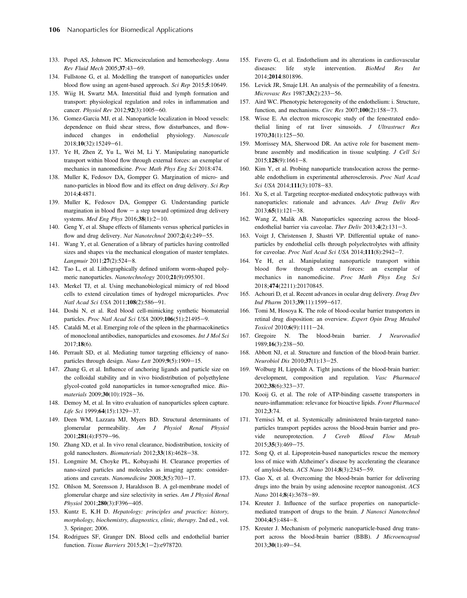- <span id="page-17-0"></span>133. Popel AS, Johnson PC. Microcirculation and hemorheology. Annu Rev Fluid Mech 2005;37:43-69.
- 134. Fullstone G, et al. Modelling the transport of nanoparticles under blood flow using an agent-based approach. Sci Rep 2015;5:10649.
- 135. Wiig H, Swartz MA. Interstitial fluid and lymph formation and transport: physiological regulation and roles in inflammation and cancer. Physiol Rev 2012;92(3):1005-60.
- 136. Gomez-Garcia MJ, et al. Nanoparticle localization in blood vessels: dependence on fluid shear stress, flow disturbances, and flowinduced changes in endothelial physiology. Nanoscale 2018;10(32):15249-61.
- 137. Ye H, Zhen Z, Yu L, Wei M, Li Y. Manipulating nanoparticle transport within blood flow through external forces: an exemplar of mechanics in nanomedicine. Proc Math Phys Eng Sci 2018:474.
- 138. Muller K, Fedosov DA, Gompper G. Margination of micro- and nano-particles in blood flow and its effect on drug delivery. Sci Rep 2014;4:4871.
- 139. Muller K, Fedosov DA, Gompper G. Understanding particle margination in blood flow  $-$  a step toward optimized drug delivery systems. Med Eng Phys 2016;38(1):2-10.
- 140. Geng Y, et al. Shape effects of filaments versus spherical particles in flow and drug delivery. Nat Nanotechnol 2007;2(4):249-55.
- 141. Wang Y, et al. Generation of a library of particles having controlled sizes and shapes via the mechanical elongation of master templates. Langmuir 2011;27(2):524-8.
- 142. Tao L, et al. Lithographically defined uniform worm-shaped polymeric nanoparticles. Nanotechnology 2010;21(9):095301.
- 143. Merkel TJ, et al. Using mechanobiological mimicry of red blood cells to extend circulation times of hydrogel microparticles. Proc Natl Acad Sci USA 2011;108(2):586-91.
- 144. Doshi N, et al. Red blood cell-mimicking synthetic biomaterial particles. Proc Natl Acad Sci USA 2009;106(51):21495-9.
- 145. Cataldi M, et al. Emerging role of the spleen in the pharmacokinetics of monoclonal antibodies, nanoparticles and exosomes. Int J Mol Sci 2017;18(6).
- 146. Perrault SD, et al. Mediating tumor targeting efficiency of nanoparticles through design. Nano Lett  $2009;9(5):1909-15$ .
- 147. Zhang G, et al. Influence of anchoring ligands and particle size on the colloidal stability and in vivo biodistribution of polyethylene glycol-coated gold nanoparticles in tumor-xenografted mice. Biomaterials 2009;30(10):1928-36.
- 148. Demoy M, et al. In vitro evaluation of nanoparticles spleen capture. Life Sci 1999;64(15):1329-37.
- 149. Deen WM, Lazzara MJ, Myers BD. Structural determinants of glomerular permeability. Am J Physiol Renal Physiol 2001;281(4):F579-96.
- 150. Zhang XD, et al. In vivo renal clearance, biodistribution, toxicity of gold nanoclusters. Biomaterials  $2012;33(18):4628-38$ .
- 151. Longmire M, Choyke PL, Kobayashi H. Clearance properties of nano-sized particles and molecules as imaging agents: considerations and caveats. Nanomedicine  $2008;3(5):703-17$ .
- 152. Ohlson M, Sorensson J, Haraldsson B. A gel-membrane model of glomerular charge and size selectivity in series. Am J Physiol Renal Physiol 2001;280(3):F396-405.
- 153. Kuntz E, K.H D. Hepatology: principles and practice: history, morphology, biochemistry, diagnostics, clinic, therapy. 2nd ed., vol. 3. Springer; 2006.
- 154. Rodrigues SF, Granger DN. Blood cells and endothelial barrier function. Tissue Barriers  $2015;3(1-2):e978720$ .
- 155. Favero G, et al. Endothelium and its alterations in cardiovascular diseases: life style intervention. BioMed Res Int 2014;2014:801896.
- 156. Levick JR, Smaje LH. An analysis of the permeability of a fenestra. Microvasc Res 1987;33(2):233-56.
- 157. Aird WC. Phenotypic heterogeneity of the endothelium: i. Structure, function, and mechanisms. Circ Res  $2007;100(2):158-73$ .
- 158. Wisse E. An electron microscopic study of the fenestrated endothelial lining of rat liver sinusoids. J Ultrastruct Res  $1970;31(1):125-50.$
- 159. Morrissey MA, Sherwood DR. An active role for basement membrane assembly and modification in tissue sculpting. J Cell Sci  $2015;128(9):1661-8.$
- 160. Kim Y, et al. Probing nanoparticle translocation across the permeable endothelium in experimental atherosclerosis. Proc Natl Acad Sci USA 2014;111(3):1078-83.
- 161. Xu S, et al. Targeting receptor-mediated endocytotic pathways with nanoparticles: rationale and advances. Adv Drug Deliv Rev  $2013;65(1):121-38.$
- 162. Wang Z, Malik AB. Nanoparticles squeezing across the bloodendothelial barrier via caveolae. Ther Deliv  $2013;4(2):131-3$ .
- 163. Voigt J, Christensen J, Shastri VP. Differential uptake of nanoparticles by endothelial cells through polyelectrolytes with affinity for caveolae. Proc Natl Acad Sci USA 2014;111(8):2942-7.
- 164. Ye H, et al. Manipulating nanoparticle transport within blood flow through external forces: an exemplar of mechanics in nanomedicine. Proc Math Phys Eng Sci 2018;474(2211):20170845.
- 165. Achouri D, et al. Recent advances in ocular drug delivery. Drug Dev Ind Pharm 2013;39(11):1599-617.
- 166. Tomi M, Hosoya K. The role of blood-ocular barrier transporters in retinal drug disposition: an overview. Expert Opin Drug Metabol Toxicol 2010;6(9):1111-24.
- 167. Gregoire N. The blood-brain barrier. J Neuroradiol  $1989;16(3):238-50.$
- 168. Abbott NJ, et al. Structure and function of the blood-brain barrier. Neurobiol Dis 2010;37(1):13-25.
- 169. Wolburg H, Lippoldt A. Tight junctions of the blood-brain barrier: development, composition and regulation. Vasc Pharmacol 2002;38(6):323-37.
- 170. Kooij G, et al. The role of ATP-binding cassette transporters in neuro-inflammation: relevance for bioactive lipids. Front Pharmacol 2012;3:74.
- 171. Yemisci M, et al. Systemically administered brain-targeted nanoparticles transport peptides across the blood-brain barrier and provide neuroprotection. J Cereb Blood Flow Metab 2015;35(3):469-75.
- 172. Song Q, et al. Lipoprotein-based nanoparticles rescue the memory loss of mice with Alzheimer's disease by accelerating the clearance of amyloid-beta. ACS Nano 2014;8(3):2345-59.
- 173. Gao X, et al. Overcoming the blood-brain barrier for delivering drugs into the brain by using adenosine receptor nanoagonist. ACS Nano 2014;8(4):3678-89.
- 174. Kreuter J. Influence of the surface properties on nanoparticlemediated transport of drugs to the brain. J Nanosci Nanotechnol  $2004;4(5):484-8.$
- 175. Kreuter J. Mechanism of polymeric nanoparticle-based drug transport across the blood-brain barrier (BBB). J Microencapsul 2013;30(1):49-54.